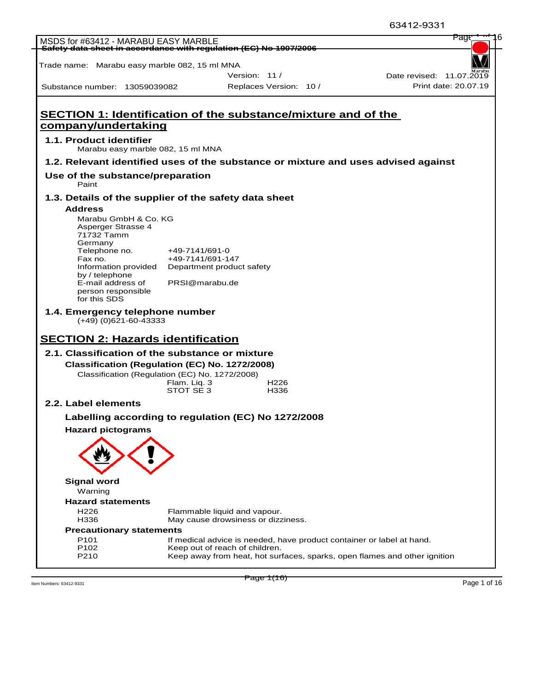|                                                                                                  |                  |                                                                                                             | 63412-9331               |
|--------------------------------------------------------------------------------------------------|------------------|-------------------------------------------------------------------------------------------------------------|--------------------------|
| MSDS for #63412 - MARABU EASY MARBLE                                                             |                  | Safety data sheet in accordance with regulation (EC) No 1907/2006                                           | Page                     |
|                                                                                                  |                  |                                                                                                             |                          |
| Trade name: Marabu easy marble 082, 15 ml MNA                                                    |                  |                                                                                                             |                          |
|                                                                                                  |                  | Version: 11 /                                                                                               | Date revised: 11.07.2019 |
| Substance number: 13059039082                                                                    |                  | Replaces Version: 10 /                                                                                      | Print date: 20.07.19     |
|                                                                                                  |                  |                                                                                                             |                          |
|                                                                                                  |                  | <b>SECTION 1: Identification of the substance/mixture and of the</b>                                        |                          |
| company/undertaking                                                                              |                  |                                                                                                             |                          |
| 1.1. Product identifier                                                                          |                  |                                                                                                             |                          |
| Marabu easy marble 082, 15 ml MNA                                                                |                  |                                                                                                             |                          |
|                                                                                                  |                  | 1.2. Relevant identified uses of the substance or mixture and uses advised against                          |                          |
| Use of the substance/preparation<br>Paint                                                        |                  |                                                                                                             |                          |
| 1.3. Details of the supplier of the safety data sheet                                            |                  |                                                                                                             |                          |
| <b>Address</b>                                                                                   |                  |                                                                                                             |                          |
| Marabu GmbH & Co. KG                                                                             |                  |                                                                                                             |                          |
| Asperger Strasse 4<br>71732 Tamm                                                                 |                  |                                                                                                             |                          |
| Germany                                                                                          |                  |                                                                                                             |                          |
| Telephone no.                                                                                    | $+49-7141/691-0$ |                                                                                                             |                          |
| Fax no.<br>Information provided                                                                  |                  | +49-7141/691-147<br>Department product safety                                                               |                          |
| by / telephone                                                                                   |                  |                                                                                                             |                          |
| E-mail address of<br>person responsible                                                          |                  | PRSI@marabu.de                                                                                              |                          |
| for this SDS                                                                                     |                  |                                                                                                             |                          |
| 1.4. Emergency telephone number                                                                  |                  |                                                                                                             |                          |
| $(+49)$ (0)621-60-43333                                                                          |                  |                                                                                                             |                          |
| <b>SECTION 2: Hazards identification</b>                                                         |                  |                                                                                                             |                          |
| 2.1. Classification of the substance or mixture                                                  |                  |                                                                                                             |                          |
|                                                                                                  |                  |                                                                                                             |                          |
| Classification (Regulation (EC) No. 1272/2008)<br>Classification (Regulation (EC) No. 1272/2008) |                  |                                                                                                             |                          |
|                                                                                                  | Flam. Liq. 3     | H <sub>226</sub>                                                                                            |                          |
|                                                                                                  | STOT SE 3        | H336                                                                                                        |                          |
| 2.2. Label elements                                                                              |                  |                                                                                                             |                          |
|                                                                                                  |                  | Labelling according to regulation (EC) No 1272/2008                                                         |                          |
| <b>Hazard pictograms</b>                                                                         |                  |                                                                                                             |                          |
|                                                                                                  |                  |                                                                                                             |                          |
|                                                                                                  |                  |                                                                                                             |                          |
|                                                                                                  |                  |                                                                                                             |                          |
|                                                                                                  |                  |                                                                                                             |                          |
| <b>Signal word</b>                                                                               |                  |                                                                                                             |                          |
| Warning<br><b>Hazard statements</b>                                                              |                  |                                                                                                             |                          |
| H <sub>226</sub>                                                                                 |                  | Flammable liquid and vapour.                                                                                |                          |
| H336                                                                                             |                  | May cause drowsiness or dizziness.                                                                          |                          |
| <b>Precautionary statements</b>                                                                  |                  |                                                                                                             |                          |
| P <sub>101</sub>                                                                                 |                  | If medical advice is needed, have product container or label at hand.                                       |                          |
| P <sub>102</sub><br>P210                                                                         |                  | Keep out of reach of children.<br>Keep away from heat, hot surfaces, sparks, open flames and other ignition |                          |
|                                                                                                  |                  |                                                                                                             |                          |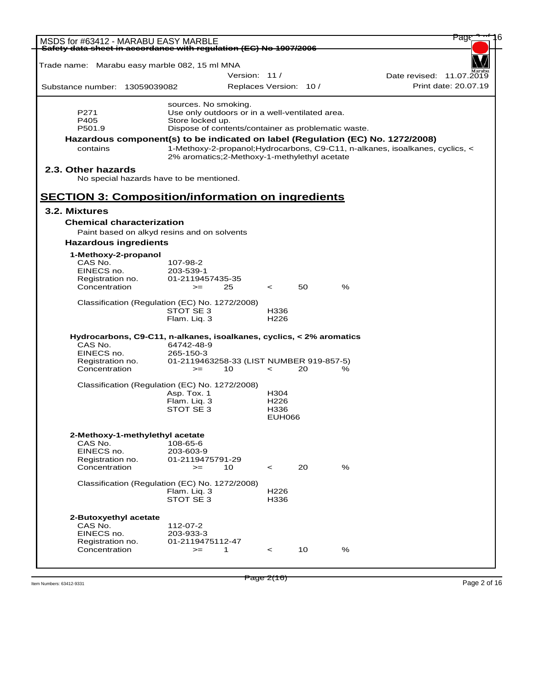| MSDS for #63412 - MARABU EASY MARBLE                                            |                  |                                                     |                        |    |   | <del>Pag</del>                                                                |
|---------------------------------------------------------------------------------|------------------|-----------------------------------------------------|------------------------|----|---|-------------------------------------------------------------------------------|
| Safety data sheet in accordance with regulation (EC) No 1907/2006               |                  |                                                     |                        |    |   |                                                                               |
| Trade name: Marabu easy marble 082, 15 ml MNA                                   |                  |                                                     |                        |    |   |                                                                               |
|                                                                                 |                  | Version: 11/                                        |                        |    |   | Date revised: 11.07.2019                                                      |
| Substance number: 13059039082                                                   |                  |                                                     | Replaces Version: 10 / |    |   | Print date: 20.07.19                                                          |
|                                                                                 |                  | sources. No smoking.                                |                        |    |   |                                                                               |
| P271                                                                            |                  | Use only outdoors or in a well-ventilated area.     |                        |    |   |                                                                               |
| P405                                                                            | Store locked up. |                                                     |                        |    |   |                                                                               |
| P501.9                                                                          |                  | Dispose of contents/container as problematic waste. |                        |    |   |                                                                               |
| Hazardous component(s) to be indicated on label (Regulation (EC) No. 1272/2008) |                  |                                                     |                        |    |   |                                                                               |
| contains                                                                        |                  | 2% aromatics; 2-Methoxy-1-methylethyl acetate       |                        |    |   | 1-Methoxy-2-propanol; Hydrocarbons, C9-C11, n-alkanes, isoalkanes, cyclics, < |
| 2.3. Other hazards<br>No special hazards have to be mentioned.                  |                  |                                                     |                        |    |   |                                                                               |
| <b>SECTION 3: Composition/information on ingredients</b>                        |                  |                                                     |                        |    |   |                                                                               |
| 3.2. Mixtures                                                                   |                  |                                                     |                        |    |   |                                                                               |
| <b>Chemical characterization</b>                                                |                  |                                                     |                        |    |   |                                                                               |
| Paint based on alkyd resins and on solvents                                     |                  |                                                     |                        |    |   |                                                                               |
| <b>Hazardous ingredients</b>                                                    |                  |                                                     |                        |    |   |                                                                               |
|                                                                                 |                  |                                                     |                        |    |   |                                                                               |
| 1-Methoxy-2-propanol<br>CAS No.                                                 | 107-98-2         |                                                     |                        |    |   |                                                                               |
| EINECS no.                                                                      | 203-539-1        |                                                     |                        |    |   |                                                                               |
| Registration no.                                                                | 01-2119457435-35 |                                                     |                        |    |   |                                                                               |
| Concentration                                                                   | $>=$             | 25                                                  | $\prec$                | 50 | % |                                                                               |
| Classification (Regulation (EC) No. 1272/2008)                                  |                  |                                                     |                        |    |   |                                                                               |
|                                                                                 | STOT SE 3        |                                                     | H336                   |    |   |                                                                               |
|                                                                                 | Flam. Liq. 3     |                                                     | H <sub>226</sub>       |    |   |                                                                               |
| Hydrocarbons, C9-C11, n-alkanes, isoalkanes, cyclics, < 2% aromatics            |                  |                                                     |                        |    |   |                                                                               |
| CAS No.                                                                         | 64742-48-9       |                                                     |                        |    |   |                                                                               |
| EINECS no.                                                                      | 265-150-3        |                                                     |                        |    |   |                                                                               |
| Registration no.                                                                |                  | 01-2119463258-33 (LIST NUMBER 919-857-5)            |                        |    |   |                                                                               |
| Concentration                                                                   | $>=$             | 10                                                  | $\prec$                | 20 | % |                                                                               |
| Classification (Regulation (EC) No. 1272/2008)                                  |                  |                                                     |                        |    |   |                                                                               |
|                                                                                 | Asp. Tox. 1      |                                                     | H304                   |    |   |                                                                               |
|                                                                                 | Flam. Lig. 3     |                                                     | H <sub>226</sub>       |    |   |                                                                               |
|                                                                                 | STOT SE 3        |                                                     | H336                   |    |   |                                                                               |
|                                                                                 |                  |                                                     | <b>EUH066</b>          |    |   |                                                                               |
| 2-Methoxy-1-methylethyl acetate                                                 |                  |                                                     |                        |    |   |                                                                               |
| CAS No.                                                                         | 108-65-6         |                                                     |                        |    |   |                                                                               |
| EINECS no.                                                                      | 203-603-9        |                                                     |                        |    |   |                                                                               |
| Registration no.<br>Concentration                                               | 01-2119475791-29 | 10                                                  |                        | 20 | % |                                                                               |
|                                                                                 | $>=$             |                                                     | $\prec$                |    |   |                                                                               |
| Classification (Regulation (EC) No. 1272/2008)                                  |                  |                                                     |                        |    |   |                                                                               |
|                                                                                 | Flam. Liq. 3     |                                                     | H <sub>226</sub>       |    |   |                                                                               |
|                                                                                 | STOT SE 3        |                                                     | H336                   |    |   |                                                                               |
| 2-Butoxyethyl acetate                                                           |                  |                                                     |                        |    |   |                                                                               |
| CAS No.                                                                         | 112-07-2         |                                                     |                        |    |   |                                                                               |
| EINECS no.                                                                      | 203-933-3        |                                                     |                        |    |   |                                                                               |
| Registration no.                                                                | 01-2119475112-47 |                                                     |                        |    |   |                                                                               |
| Concentration                                                                   | $>=$             | 1                                                   | $\,<\,$                | 10 | % |                                                                               |
|                                                                                 |                  |                                                     |                        |    |   |                                                                               |
|                                                                                 |                  |                                                     |                        |    |   |                                                                               |

Item Numbers: 63412-9331 Page 2 of 16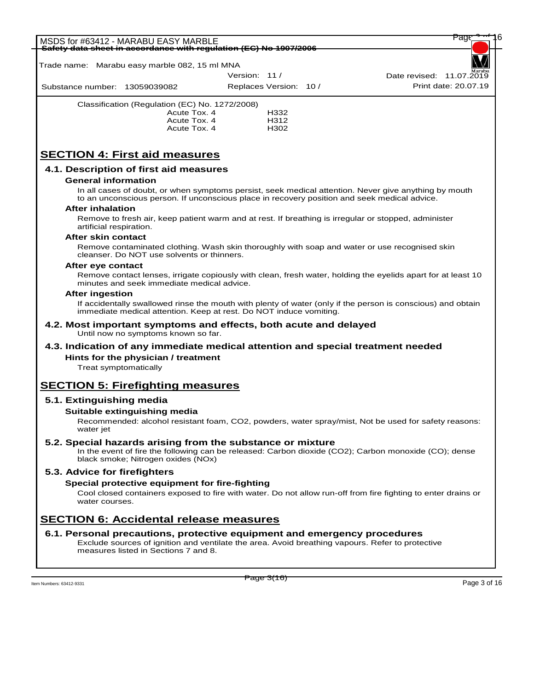# MSDS for #63412 - MARABU EASY MARBLE<br><del>Safety data sheet in accordance with requl</del> **Safety data sheet in accordance with regulation (EC) No 1907/2006** Substance number: 13059039082 Version: 11 / Replaces Version: 10 / Print date: 20.07.19 WORLD Date revised:  $11.07.\overline{20}$ Trade name: Marabu easy marble 082, 15 ml MNA Classification (Regulation (EC) No. 1272/2008) Acute Tox. 4 H332 Acute Tox. 4 H312 Acute Tox. 4 **SECTION 4: First aid measures 4.1. Description of first aid measures General information** In all cases of doubt, or when symptoms persist, seek medical attention. Never give anything by mouth to an unconscious person. If unconscious place in recovery position and seek medical advice. **After inhalation** Remove to fresh air, keep patient warm and at rest. If breathing is irregular or stopped, administer artificial respiration. **After skin contact** Remove contaminated clothing. Wash skin thoroughly with soap and water or use recognised skin cleanser. Do NOT use solvents or thinners. **After eye contact** Remove contact lenses, irrigate copiously with clean, fresh water, holding the eyelids apart for at least 10 minutes and seek immediate medical advice. **After ingestion** If accidentally swallowed rinse the mouth with plenty of water (only if the person is conscious) and obtain immediate medical attention. Keep at rest. Do NOT induce vomiting. **4.2. Most important symptoms and effects, both acute and delayed** Until now no symptoms known so far. **4.3. Indication of any immediate medical attention and special treatment needed**

# Treat symptomatically

# **SECTION 5: Firefighting measures**

**Hints for the physician / treatment**

# **5.1. Extinguishing media**

### **Suitable extinguishing media**

Recommended: alcohol resistant foam, CO2, powders, water spray/mist, Not be used for safety reasons: water jet

## **5.2. Special hazards arising from the substance or mixture**

In the event of fire the following can be released: Carbon dioxide (CO2); Carbon monoxide (CO); dense black smoke; Nitrogen oxides (NOx)

### **5.3. Advice for firefighters**

## **Special protective equipment for fire-fighting**

Cool closed containers exposed to fire with water. Do not allow run-off from fire fighting to enter drains or water courses.

# **SECTION 6: Accidental release measures**

### **6.1. Personal precautions, protective equipment and emergency procedures**

Exclude sources of ignition and ventilate the area. Avoid breathing vapours. Refer to protective measures listed in Sections 7 and 8.

Item Numbers: 63412-9331 Page 3 of 16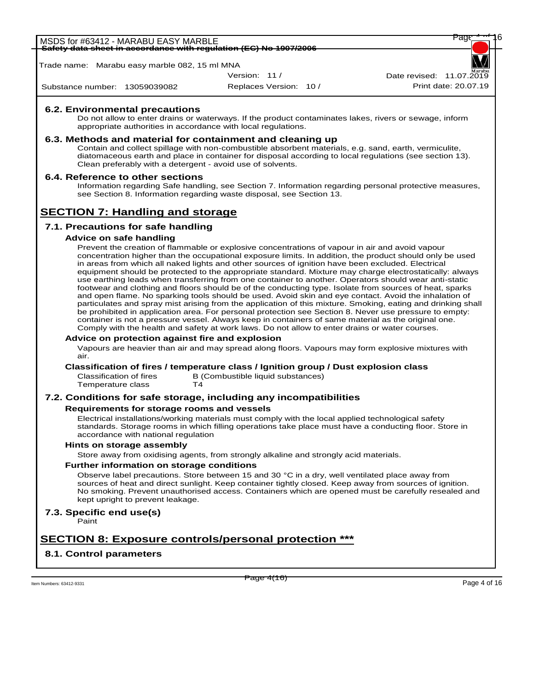MSDS for #63412 - MARABU EASY MARBLE<br><del>Safety data sheet in accordance with requlation (EC) No 1907/2006</del> **Safety data sheet in accordance with regulation (EC) No 1907/2006**

Trade name: Marabu easy marble 082, 15 ml MNA

Version: 11 /

WORLD

Substance number: 13059039082

Replaces Version: 10 / Print date: 20.07.19 Date revised:  $11.07.\overline{20}$ 

## **6.2. Environmental precautions**

Do not allow to enter drains or waterways. If the product contaminates lakes, rivers or sewage, inform appropriate authorities in accordance with local regulations.

## **6.3. Methods and material for containment and cleaning up**

Contain and collect spillage with non-combustible absorbent materials, e.g. sand, earth, vermiculite, diatomaceous earth and place in container for disposal according to local regulations (see section 13). Clean preferably with a detergent - avoid use of solvents.

## **6.4. Reference to other sections**

Information regarding Safe handling, see Section 7. Information regarding personal protective measures, see Section 8. Information regarding waste disposal, see Section 13.

# **SECTION 7: Handling and storage**

# **7.1. Precautions for safe handling**

### **Advice on safe handling**

Prevent the creation of flammable or explosive concentrations of vapour in air and avoid vapour concentration higher than the occupational exposure limits. In addition, the product should only be used in areas from which all naked lights and other sources of ignition have been excluded. Electrical equipment should be protected to the appropriate standard. Mixture may charge electrostatically: always use earthing leads when transferring from one container to another. Operators should wear anti-static footwear and clothing and floors should be of the conducting type. Isolate from sources of heat, sparks and open flame. No sparking tools should be used. Avoid skin and eye contact. Avoid the inhalation of particulates and spray mist arising from the application of this mixture. Smoking, eating and drinking shall be prohibited in application area. For personal protection see Section 8. Never use pressure to empty: container is not a pressure vessel. Always keep in containers of same material as the original one. Comply with the health and safety at work laws. Do not allow to enter drains or water courses.

### **Advice on protection against fire and explosion**

Vapours are heavier than air and may spread along floors. Vapours may form explosive mixtures with air.

### **Classification of fires / temperature class / Ignition group / Dust explosion class**

Temperature class

Classification of fires B (Combustible liquid substances)<br>Temperature class T4

### **7.2. Conditions for safe storage, including any incompatibilities**

### **Requirements for storage rooms and vessels**

Electrical installations/working materials must comply with the local applied technological safety standards. Storage rooms in which filling operations take place must have a conducting floor. Store in accordance with national regulation

#### **Hints on storage assembly**

Store away from oxidising agents, from strongly alkaline and strongly acid materials.

### **Further information on storage conditions**

Observe label precautions. Store between 15 and 30 °C in a dry, well ventilated place away from sources of heat and direct sunlight. Keep container tightly closed. Keep away from sources of ignition. No smoking. Prevent unauthorised access. Containers which are opened must be carefully resealed and kept upright to prevent leakage.

# **7.3. Specific end use(s)**

Paint

# **SECTION 8: Exposure controls/personal protection \*\*\***

# **8.1. Control parameters**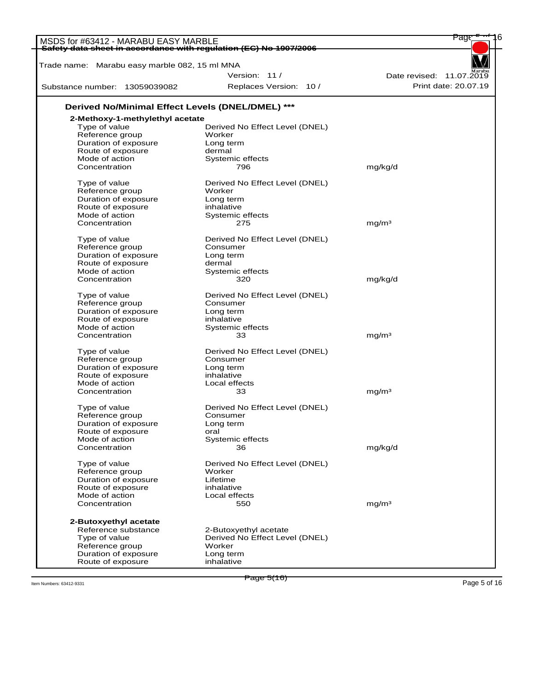| Safety data sheet in accordance with regulation (EC) No 1907/2006<br>Trade name: Marabu easy marble 082, 15 ml MNA<br>Version: 11/<br>Date revised: 11.07.2019<br>Print date: 20.07.19<br>Replaces Version: 10 /<br>Substance number: 13059039082<br>Derived No/Minimal Effect Levels (DNEL/DMEL) ***<br>2-Methoxy-1-methylethyl acetate<br>Type of value<br>Derived No Effect Level (DNEL)<br>Reference group<br>Worker<br>Duration of exposure<br>Long term<br>dermal<br>Route of exposure<br>Mode of action<br>Systemic effects<br>Concentration<br>796<br>mg/kg/d<br>Derived No Effect Level (DNEL)<br>Type of value<br>Worker<br>Reference group<br>Duration of exposure<br>Long term<br>Route of exposure<br>inhalative<br>Mode of action<br>Systemic effects<br>Concentration<br>ma/m <sup>3</sup><br>275<br>Type of value<br>Derived No Effect Level (DNEL)<br>Reference group<br>Consumer<br>Duration of exposure<br>Long term<br>Route of exposure<br>dermal<br>Mode of action<br>Systemic effects<br>mg/kg/d<br>Concentration<br>320<br>Type of value<br>Derived No Effect Level (DNEL)<br>Reference group<br>Consumer<br>Duration of exposure<br>Long term<br>Route of exposure<br>inhalative<br>Mode of action<br>Systemic effects<br>mg/m <sup>3</sup><br>Concentration<br>33<br>Type of value<br>Derived No Effect Level (DNEL)<br>Reference group<br>Consumer<br>Duration of exposure<br>Long term<br>Route of exposure<br>inhalative<br>Mode of action<br>Local effects<br>mg/m <sup>3</sup><br>Concentration<br>33<br>Derived No Effect Level (DNEL)<br>Type of value<br>Reference group<br>Consumer<br>Duration of exposure<br>Long term<br>Route of exposure<br>oral<br>Mode of action<br>Systemic effects<br>Concentration<br>mg/kg/d<br>36<br>Type of value<br>Derived No Effect Level (DNEL)<br>Reference group<br>Worker<br>Duration of exposure<br>Lifetime<br>Route of exposure<br>inhalative<br>Mode of action<br>Local effects<br>mg/m <sup>3</sup><br>Concentration<br>550<br>2-Butoxyethyl acetate<br>Reference substance<br>2-Butoxyethyl acetate<br>Type of value<br>Derived No Effect Level (DNEL)<br>Reference group<br>Worker | MSDS for #63412 - MARABU EASY MARBLE | Page |
|------------------------------------------------------------------------------------------------------------------------------------------------------------------------------------------------------------------------------------------------------------------------------------------------------------------------------------------------------------------------------------------------------------------------------------------------------------------------------------------------------------------------------------------------------------------------------------------------------------------------------------------------------------------------------------------------------------------------------------------------------------------------------------------------------------------------------------------------------------------------------------------------------------------------------------------------------------------------------------------------------------------------------------------------------------------------------------------------------------------------------------------------------------------------------------------------------------------------------------------------------------------------------------------------------------------------------------------------------------------------------------------------------------------------------------------------------------------------------------------------------------------------------------------------------------------------------------------------------------------------------------------------------------------------------------------------------------------------------------------------------------------------------------------------------------------------------------------------------------------------------------------------------------------------------------------------------------------------------------------------------------------------------------------------------------------------------------------------------------------------------------------------------------------|--------------------------------------|------|
|                                                                                                                                                                                                                                                                                                                                                                                                                                                                                                                                                                                                                                                                                                                                                                                                                                                                                                                                                                                                                                                                                                                                                                                                                                                                                                                                                                                                                                                                                                                                                                                                                                                                                                                                                                                                                                                                                                                                                                                                                                                                                                                                                                  |                                      |      |
|                                                                                                                                                                                                                                                                                                                                                                                                                                                                                                                                                                                                                                                                                                                                                                                                                                                                                                                                                                                                                                                                                                                                                                                                                                                                                                                                                                                                                                                                                                                                                                                                                                                                                                                                                                                                                                                                                                                                                                                                                                                                                                                                                                  |                                      |      |
|                                                                                                                                                                                                                                                                                                                                                                                                                                                                                                                                                                                                                                                                                                                                                                                                                                                                                                                                                                                                                                                                                                                                                                                                                                                                                                                                                                                                                                                                                                                                                                                                                                                                                                                                                                                                                                                                                                                                                                                                                                                                                                                                                                  |                                      |      |
|                                                                                                                                                                                                                                                                                                                                                                                                                                                                                                                                                                                                                                                                                                                                                                                                                                                                                                                                                                                                                                                                                                                                                                                                                                                                                                                                                                                                                                                                                                                                                                                                                                                                                                                                                                                                                                                                                                                                                                                                                                                                                                                                                                  |                                      |      |
|                                                                                                                                                                                                                                                                                                                                                                                                                                                                                                                                                                                                                                                                                                                                                                                                                                                                                                                                                                                                                                                                                                                                                                                                                                                                                                                                                                                                                                                                                                                                                                                                                                                                                                                                                                                                                                                                                                                                                                                                                                                                                                                                                                  |                                      |      |
|                                                                                                                                                                                                                                                                                                                                                                                                                                                                                                                                                                                                                                                                                                                                                                                                                                                                                                                                                                                                                                                                                                                                                                                                                                                                                                                                                                                                                                                                                                                                                                                                                                                                                                                                                                                                                                                                                                                                                                                                                                                                                                                                                                  |                                      |      |
|                                                                                                                                                                                                                                                                                                                                                                                                                                                                                                                                                                                                                                                                                                                                                                                                                                                                                                                                                                                                                                                                                                                                                                                                                                                                                                                                                                                                                                                                                                                                                                                                                                                                                                                                                                                                                                                                                                                                                                                                                                                                                                                                                                  |                                      |      |
|                                                                                                                                                                                                                                                                                                                                                                                                                                                                                                                                                                                                                                                                                                                                                                                                                                                                                                                                                                                                                                                                                                                                                                                                                                                                                                                                                                                                                                                                                                                                                                                                                                                                                                                                                                                                                                                                                                                                                                                                                                                                                                                                                                  |                                      |      |
|                                                                                                                                                                                                                                                                                                                                                                                                                                                                                                                                                                                                                                                                                                                                                                                                                                                                                                                                                                                                                                                                                                                                                                                                                                                                                                                                                                                                                                                                                                                                                                                                                                                                                                                                                                                                                                                                                                                                                                                                                                                                                                                                                                  |                                      |      |
|                                                                                                                                                                                                                                                                                                                                                                                                                                                                                                                                                                                                                                                                                                                                                                                                                                                                                                                                                                                                                                                                                                                                                                                                                                                                                                                                                                                                                                                                                                                                                                                                                                                                                                                                                                                                                                                                                                                                                                                                                                                                                                                                                                  |                                      |      |
|                                                                                                                                                                                                                                                                                                                                                                                                                                                                                                                                                                                                                                                                                                                                                                                                                                                                                                                                                                                                                                                                                                                                                                                                                                                                                                                                                                                                                                                                                                                                                                                                                                                                                                                                                                                                                                                                                                                                                                                                                                                                                                                                                                  |                                      |      |
|                                                                                                                                                                                                                                                                                                                                                                                                                                                                                                                                                                                                                                                                                                                                                                                                                                                                                                                                                                                                                                                                                                                                                                                                                                                                                                                                                                                                                                                                                                                                                                                                                                                                                                                                                                                                                                                                                                                                                                                                                                                                                                                                                                  |                                      |      |
|                                                                                                                                                                                                                                                                                                                                                                                                                                                                                                                                                                                                                                                                                                                                                                                                                                                                                                                                                                                                                                                                                                                                                                                                                                                                                                                                                                                                                                                                                                                                                                                                                                                                                                                                                                                                                                                                                                                                                                                                                                                                                                                                                                  |                                      |      |
|                                                                                                                                                                                                                                                                                                                                                                                                                                                                                                                                                                                                                                                                                                                                                                                                                                                                                                                                                                                                                                                                                                                                                                                                                                                                                                                                                                                                                                                                                                                                                                                                                                                                                                                                                                                                                                                                                                                                                                                                                                                                                                                                                                  |                                      |      |
|                                                                                                                                                                                                                                                                                                                                                                                                                                                                                                                                                                                                                                                                                                                                                                                                                                                                                                                                                                                                                                                                                                                                                                                                                                                                                                                                                                                                                                                                                                                                                                                                                                                                                                                                                                                                                                                                                                                                                                                                                                                                                                                                                                  |                                      |      |
|                                                                                                                                                                                                                                                                                                                                                                                                                                                                                                                                                                                                                                                                                                                                                                                                                                                                                                                                                                                                                                                                                                                                                                                                                                                                                                                                                                                                                                                                                                                                                                                                                                                                                                                                                                                                                                                                                                                                                                                                                                                                                                                                                                  |                                      |      |
|                                                                                                                                                                                                                                                                                                                                                                                                                                                                                                                                                                                                                                                                                                                                                                                                                                                                                                                                                                                                                                                                                                                                                                                                                                                                                                                                                                                                                                                                                                                                                                                                                                                                                                                                                                                                                                                                                                                                                                                                                                                                                                                                                                  |                                      |      |
|                                                                                                                                                                                                                                                                                                                                                                                                                                                                                                                                                                                                                                                                                                                                                                                                                                                                                                                                                                                                                                                                                                                                                                                                                                                                                                                                                                                                                                                                                                                                                                                                                                                                                                                                                                                                                                                                                                                                                                                                                                                                                                                                                                  |                                      |      |
|                                                                                                                                                                                                                                                                                                                                                                                                                                                                                                                                                                                                                                                                                                                                                                                                                                                                                                                                                                                                                                                                                                                                                                                                                                                                                                                                                                                                                                                                                                                                                                                                                                                                                                                                                                                                                                                                                                                                                                                                                                                                                                                                                                  |                                      |      |
|                                                                                                                                                                                                                                                                                                                                                                                                                                                                                                                                                                                                                                                                                                                                                                                                                                                                                                                                                                                                                                                                                                                                                                                                                                                                                                                                                                                                                                                                                                                                                                                                                                                                                                                                                                                                                                                                                                                                                                                                                                                                                                                                                                  |                                      |      |
|                                                                                                                                                                                                                                                                                                                                                                                                                                                                                                                                                                                                                                                                                                                                                                                                                                                                                                                                                                                                                                                                                                                                                                                                                                                                                                                                                                                                                                                                                                                                                                                                                                                                                                                                                                                                                                                                                                                                                                                                                                                                                                                                                                  |                                      |      |
|                                                                                                                                                                                                                                                                                                                                                                                                                                                                                                                                                                                                                                                                                                                                                                                                                                                                                                                                                                                                                                                                                                                                                                                                                                                                                                                                                                                                                                                                                                                                                                                                                                                                                                                                                                                                                                                                                                                                                                                                                                                                                                                                                                  |                                      |      |
|                                                                                                                                                                                                                                                                                                                                                                                                                                                                                                                                                                                                                                                                                                                                                                                                                                                                                                                                                                                                                                                                                                                                                                                                                                                                                                                                                                                                                                                                                                                                                                                                                                                                                                                                                                                                                                                                                                                                                                                                                                                                                                                                                                  |                                      |      |
|                                                                                                                                                                                                                                                                                                                                                                                                                                                                                                                                                                                                                                                                                                                                                                                                                                                                                                                                                                                                                                                                                                                                                                                                                                                                                                                                                                                                                                                                                                                                                                                                                                                                                                                                                                                                                                                                                                                                                                                                                                                                                                                                                                  |                                      |      |
|                                                                                                                                                                                                                                                                                                                                                                                                                                                                                                                                                                                                                                                                                                                                                                                                                                                                                                                                                                                                                                                                                                                                                                                                                                                                                                                                                                                                                                                                                                                                                                                                                                                                                                                                                                                                                                                                                                                                                                                                                                                                                                                                                                  |                                      |      |
|                                                                                                                                                                                                                                                                                                                                                                                                                                                                                                                                                                                                                                                                                                                                                                                                                                                                                                                                                                                                                                                                                                                                                                                                                                                                                                                                                                                                                                                                                                                                                                                                                                                                                                                                                                                                                                                                                                                                                                                                                                                                                                                                                                  |                                      |      |
|                                                                                                                                                                                                                                                                                                                                                                                                                                                                                                                                                                                                                                                                                                                                                                                                                                                                                                                                                                                                                                                                                                                                                                                                                                                                                                                                                                                                                                                                                                                                                                                                                                                                                                                                                                                                                                                                                                                                                                                                                                                                                                                                                                  |                                      |      |
|                                                                                                                                                                                                                                                                                                                                                                                                                                                                                                                                                                                                                                                                                                                                                                                                                                                                                                                                                                                                                                                                                                                                                                                                                                                                                                                                                                                                                                                                                                                                                                                                                                                                                                                                                                                                                                                                                                                                                                                                                                                                                                                                                                  |                                      |      |
|                                                                                                                                                                                                                                                                                                                                                                                                                                                                                                                                                                                                                                                                                                                                                                                                                                                                                                                                                                                                                                                                                                                                                                                                                                                                                                                                                                                                                                                                                                                                                                                                                                                                                                                                                                                                                                                                                                                                                                                                                                                                                                                                                                  |                                      |      |
|                                                                                                                                                                                                                                                                                                                                                                                                                                                                                                                                                                                                                                                                                                                                                                                                                                                                                                                                                                                                                                                                                                                                                                                                                                                                                                                                                                                                                                                                                                                                                                                                                                                                                                                                                                                                                                                                                                                                                                                                                                                                                                                                                                  |                                      |      |
|                                                                                                                                                                                                                                                                                                                                                                                                                                                                                                                                                                                                                                                                                                                                                                                                                                                                                                                                                                                                                                                                                                                                                                                                                                                                                                                                                                                                                                                                                                                                                                                                                                                                                                                                                                                                                                                                                                                                                                                                                                                                                                                                                                  |                                      |      |
|                                                                                                                                                                                                                                                                                                                                                                                                                                                                                                                                                                                                                                                                                                                                                                                                                                                                                                                                                                                                                                                                                                                                                                                                                                                                                                                                                                                                                                                                                                                                                                                                                                                                                                                                                                                                                                                                                                                                                                                                                                                                                                                                                                  |                                      |      |
|                                                                                                                                                                                                                                                                                                                                                                                                                                                                                                                                                                                                                                                                                                                                                                                                                                                                                                                                                                                                                                                                                                                                                                                                                                                                                                                                                                                                                                                                                                                                                                                                                                                                                                                                                                                                                                                                                                                                                                                                                                                                                                                                                                  |                                      |      |
|                                                                                                                                                                                                                                                                                                                                                                                                                                                                                                                                                                                                                                                                                                                                                                                                                                                                                                                                                                                                                                                                                                                                                                                                                                                                                                                                                                                                                                                                                                                                                                                                                                                                                                                                                                                                                                                                                                                                                                                                                                                                                                                                                                  |                                      |      |
|                                                                                                                                                                                                                                                                                                                                                                                                                                                                                                                                                                                                                                                                                                                                                                                                                                                                                                                                                                                                                                                                                                                                                                                                                                                                                                                                                                                                                                                                                                                                                                                                                                                                                                                                                                                                                                                                                                                                                                                                                                                                                                                                                                  |                                      |      |
|                                                                                                                                                                                                                                                                                                                                                                                                                                                                                                                                                                                                                                                                                                                                                                                                                                                                                                                                                                                                                                                                                                                                                                                                                                                                                                                                                                                                                                                                                                                                                                                                                                                                                                                                                                                                                                                                                                                                                                                                                                                                                                                                                                  |                                      |      |
|                                                                                                                                                                                                                                                                                                                                                                                                                                                                                                                                                                                                                                                                                                                                                                                                                                                                                                                                                                                                                                                                                                                                                                                                                                                                                                                                                                                                                                                                                                                                                                                                                                                                                                                                                                                                                                                                                                                                                                                                                                                                                                                                                                  |                                      |      |
|                                                                                                                                                                                                                                                                                                                                                                                                                                                                                                                                                                                                                                                                                                                                                                                                                                                                                                                                                                                                                                                                                                                                                                                                                                                                                                                                                                                                                                                                                                                                                                                                                                                                                                                                                                                                                                                                                                                                                                                                                                                                                                                                                                  |                                      |      |
|                                                                                                                                                                                                                                                                                                                                                                                                                                                                                                                                                                                                                                                                                                                                                                                                                                                                                                                                                                                                                                                                                                                                                                                                                                                                                                                                                                                                                                                                                                                                                                                                                                                                                                                                                                                                                                                                                                                                                                                                                                                                                                                                                                  |                                      |      |
|                                                                                                                                                                                                                                                                                                                                                                                                                                                                                                                                                                                                                                                                                                                                                                                                                                                                                                                                                                                                                                                                                                                                                                                                                                                                                                                                                                                                                                                                                                                                                                                                                                                                                                                                                                                                                                                                                                                                                                                                                                                                                                                                                                  |                                      |      |
|                                                                                                                                                                                                                                                                                                                                                                                                                                                                                                                                                                                                                                                                                                                                                                                                                                                                                                                                                                                                                                                                                                                                                                                                                                                                                                                                                                                                                                                                                                                                                                                                                                                                                                                                                                                                                                                                                                                                                                                                                                                                                                                                                                  |                                      |      |
|                                                                                                                                                                                                                                                                                                                                                                                                                                                                                                                                                                                                                                                                                                                                                                                                                                                                                                                                                                                                                                                                                                                                                                                                                                                                                                                                                                                                                                                                                                                                                                                                                                                                                                                                                                                                                                                                                                                                                                                                                                                                                                                                                                  |                                      |      |
|                                                                                                                                                                                                                                                                                                                                                                                                                                                                                                                                                                                                                                                                                                                                                                                                                                                                                                                                                                                                                                                                                                                                                                                                                                                                                                                                                                                                                                                                                                                                                                                                                                                                                                                                                                                                                                                                                                                                                                                                                                                                                                                                                                  |                                      |      |
|                                                                                                                                                                                                                                                                                                                                                                                                                                                                                                                                                                                                                                                                                                                                                                                                                                                                                                                                                                                                                                                                                                                                                                                                                                                                                                                                                                                                                                                                                                                                                                                                                                                                                                                                                                                                                                                                                                                                                                                                                                                                                                                                                                  |                                      |      |
|                                                                                                                                                                                                                                                                                                                                                                                                                                                                                                                                                                                                                                                                                                                                                                                                                                                                                                                                                                                                                                                                                                                                                                                                                                                                                                                                                                                                                                                                                                                                                                                                                                                                                                                                                                                                                                                                                                                                                                                                                                                                                                                                                                  |                                      |      |
|                                                                                                                                                                                                                                                                                                                                                                                                                                                                                                                                                                                                                                                                                                                                                                                                                                                                                                                                                                                                                                                                                                                                                                                                                                                                                                                                                                                                                                                                                                                                                                                                                                                                                                                                                                                                                                                                                                                                                                                                                                                                                                                                                                  |                                      |      |
|                                                                                                                                                                                                                                                                                                                                                                                                                                                                                                                                                                                                                                                                                                                                                                                                                                                                                                                                                                                                                                                                                                                                                                                                                                                                                                                                                                                                                                                                                                                                                                                                                                                                                                                                                                                                                                                                                                                                                                                                                                                                                                                                                                  |                                      |      |
|                                                                                                                                                                                                                                                                                                                                                                                                                                                                                                                                                                                                                                                                                                                                                                                                                                                                                                                                                                                                                                                                                                                                                                                                                                                                                                                                                                                                                                                                                                                                                                                                                                                                                                                                                                                                                                                                                                                                                                                                                                                                                                                                                                  |                                      |      |
|                                                                                                                                                                                                                                                                                                                                                                                                                                                                                                                                                                                                                                                                                                                                                                                                                                                                                                                                                                                                                                                                                                                                                                                                                                                                                                                                                                                                                                                                                                                                                                                                                                                                                                                                                                                                                                                                                                                                                                                                                                                                                                                                                                  |                                      |      |
|                                                                                                                                                                                                                                                                                                                                                                                                                                                                                                                                                                                                                                                                                                                                                                                                                                                                                                                                                                                                                                                                                                                                                                                                                                                                                                                                                                                                                                                                                                                                                                                                                                                                                                                                                                                                                                                                                                                                                                                                                                                                                                                                                                  |                                      |      |
|                                                                                                                                                                                                                                                                                                                                                                                                                                                                                                                                                                                                                                                                                                                                                                                                                                                                                                                                                                                                                                                                                                                                                                                                                                                                                                                                                                                                                                                                                                                                                                                                                                                                                                                                                                                                                                                                                                                                                                                                                                                                                                                                                                  |                                      |      |
|                                                                                                                                                                                                                                                                                                                                                                                                                                                                                                                                                                                                                                                                                                                                                                                                                                                                                                                                                                                                                                                                                                                                                                                                                                                                                                                                                                                                                                                                                                                                                                                                                                                                                                                                                                                                                                                                                                                                                                                                                                                                                                                                                                  |                                      |      |
|                                                                                                                                                                                                                                                                                                                                                                                                                                                                                                                                                                                                                                                                                                                                                                                                                                                                                                                                                                                                                                                                                                                                                                                                                                                                                                                                                                                                                                                                                                                                                                                                                                                                                                                                                                                                                                                                                                                                                                                                                                                                                                                                                                  |                                      |      |
|                                                                                                                                                                                                                                                                                                                                                                                                                                                                                                                                                                                                                                                                                                                                                                                                                                                                                                                                                                                                                                                                                                                                                                                                                                                                                                                                                                                                                                                                                                                                                                                                                                                                                                                                                                                                                                                                                                                                                                                                                                                                                                                                                                  |                                      |      |
| Duration of exposure<br>Long term                                                                                                                                                                                                                                                                                                                                                                                                                                                                                                                                                                                                                                                                                                                                                                                                                                                                                                                                                                                                                                                                                                                                                                                                                                                                                                                                                                                                                                                                                                                                                                                                                                                                                                                                                                                                                                                                                                                                                                                                                                                                                                                                |                                      |      |
| Route of exposure<br>inhalative                                                                                                                                                                                                                                                                                                                                                                                                                                                                                                                                                                                                                                                                                                                                                                                                                                                                                                                                                                                                                                                                                                                                                                                                                                                                                                                                                                                                                                                                                                                                                                                                                                                                                                                                                                                                                                                                                                                                                                                                                                                                                                                                  |                                      |      |

Item Numbers: 63412-9331 Page 5 of 16

Page 5(16)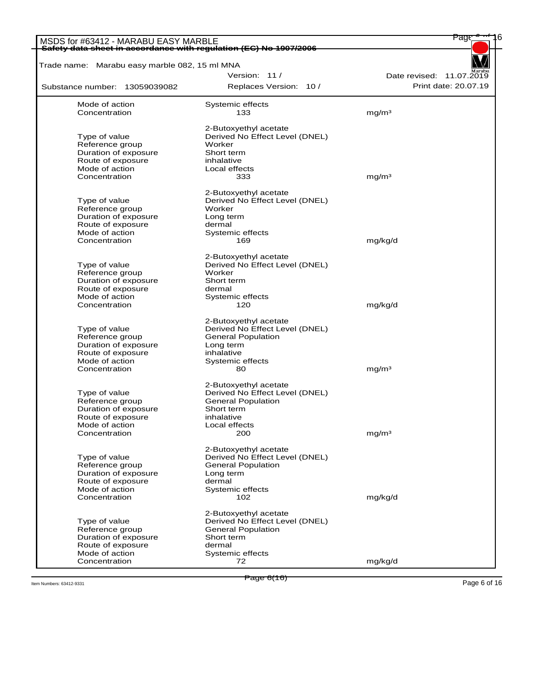| MSDS for #63412 - MARABU EASY MARBLE<br>Safety data sheet in accordance with regulation (EC) No 1907/2006 |                                | Page                     |
|-----------------------------------------------------------------------------------------------------------|--------------------------------|--------------------------|
| Trade name: Marabu easy marble 082, 15 ml MNA                                                             |                                |                          |
|                                                                                                           | Version: 11/                   | Date revised: 11.07.2019 |
|                                                                                                           | Replaces Version: 10 /         | Print date: 20.07.19     |
| Substance number: 13059039082                                                                             |                                |                          |
| Mode of action                                                                                            | Systemic effects               |                          |
| Concentration                                                                                             | 133                            | mg/m <sup>3</sup>        |
|                                                                                                           | 2-Butoxyethyl acetate          |                          |
| Type of value                                                                                             | Derived No Effect Level (DNEL) |                          |
| Reference group                                                                                           | Worker                         |                          |
| Duration of exposure                                                                                      | Short term                     |                          |
| Route of exposure                                                                                         | inhalative                     |                          |
| Mode of action<br>Concentration                                                                           | Local effects<br>333           | mg/m <sup>3</sup>        |
|                                                                                                           |                                |                          |
|                                                                                                           | 2-Butoxyethyl acetate          |                          |
| Type of value                                                                                             | Derived No Effect Level (DNEL) |                          |
| Reference group                                                                                           | Worker                         |                          |
| Duration of exposure                                                                                      | Long term                      |                          |
| Route of exposure<br>Mode of action                                                                       | dermal<br>Systemic effects     |                          |
| Concentration                                                                                             | 169                            | mg/kg/d                  |
|                                                                                                           |                                |                          |
|                                                                                                           | 2-Butoxyethyl acetate          |                          |
| Type of value                                                                                             | Derived No Effect Level (DNEL) |                          |
| Reference group                                                                                           | Worker                         |                          |
| Duration of exposure                                                                                      | Short term                     |                          |
| Route of exposure<br>Mode of action                                                                       | dermal                         |                          |
| Concentration                                                                                             | Systemic effects<br>120        | mg/kg/d                  |
|                                                                                                           |                                |                          |
|                                                                                                           | 2-Butoxyethyl acetate          |                          |
| Type of value                                                                                             | Derived No Effect Level (DNEL) |                          |
| Reference group                                                                                           | <b>General Population</b>      |                          |
| Duration of exposure                                                                                      | Long term                      |                          |
| Route of exposure                                                                                         | inhalative                     |                          |
| Mode of action                                                                                            | Systemic effects               |                          |
| Concentration                                                                                             | 80                             | mg/m <sup>3</sup>        |
|                                                                                                           | 2-Butoxyethyl acetate          |                          |
| Type of value                                                                                             | Derived No Effect Level (DNEL) |                          |
| Reference group                                                                                           | <b>General Population</b>      |                          |
| Duration of exposure                                                                                      | Short term                     |                          |
| Route of exposure                                                                                         | inhalative                     |                          |
| Mode of action                                                                                            | Local effects                  |                          |
| Concentration                                                                                             | 200                            | mg/m <sup>3</sup>        |
|                                                                                                           | 2-Butoxyethyl acetate          |                          |
| Type of value                                                                                             | Derived No Effect Level (DNEL) |                          |
| Reference group                                                                                           | <b>General Population</b>      |                          |
| Duration of exposure                                                                                      | Long term                      |                          |
| Route of exposure                                                                                         | dermal                         |                          |
| Mode of action                                                                                            | Systemic effects               |                          |
| Concentration                                                                                             | 102                            | mg/kg/d                  |
|                                                                                                           | 2-Butoxyethyl acetate          |                          |
| Type of value                                                                                             | Derived No Effect Level (DNEL) |                          |
| Reference group                                                                                           | <b>General Population</b>      |                          |
| Duration of exposure                                                                                      | Short term                     |                          |
| Route of exposure                                                                                         | dermal                         |                          |
| Mode of action                                                                                            | Systemic effects               |                          |
| Concentration                                                                                             | 72                             | mg/kg/d                  |

Item Numbers: 63412-9331 Page 6 of 16<br>Item Numbers: 63412-9331 Page 6 of 16

Page 6(16)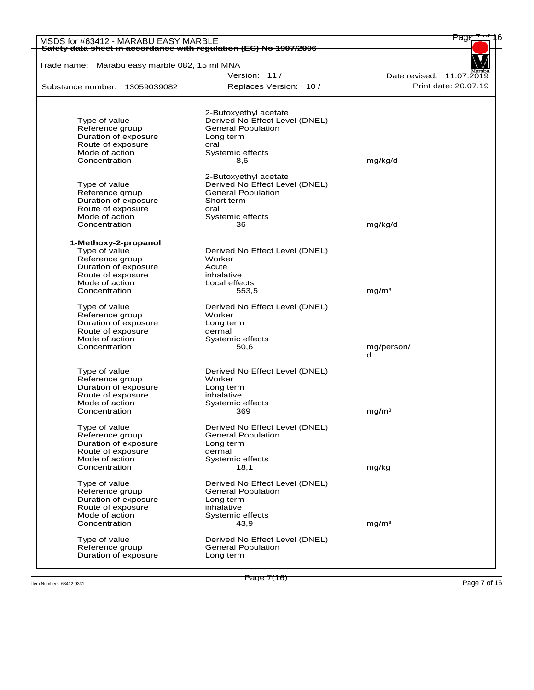| MSDS for #63412 - MARABU EASY MARBLE<br>Safety data sheet in accordance with regulation (EC) No 1907/2006 |                                | Page                     |
|-----------------------------------------------------------------------------------------------------------|--------------------------------|--------------------------|
| Trade name: Marabu easy marble 082, 15 ml MNA                                                             |                                |                          |
|                                                                                                           | Version: 11/                   | Date revised: 11.07.2019 |
| Substance number: 13059039082                                                                             | Replaces Version: 10 /         | Print date: 20.07.19     |
|                                                                                                           |                                |                          |
|                                                                                                           | 2-Butoxyethyl acetate          |                          |
| Type of value                                                                                             | Derived No Effect Level (DNEL) |                          |
| Reference group                                                                                           | <b>General Population</b>      |                          |
| Duration of exposure                                                                                      | Long term                      |                          |
| Route of exposure                                                                                         | oral                           |                          |
| Mode of action                                                                                            | Systemic effects               |                          |
| Concentration                                                                                             | 8,6                            | mg/kg/d                  |
|                                                                                                           | 2-Butoxyethyl acetate          |                          |
| Type of value                                                                                             | Derived No Effect Level (DNEL) |                          |
| Reference group                                                                                           | <b>General Population</b>      |                          |
| Duration of exposure                                                                                      | Short term                     |                          |
| Route of exposure                                                                                         | oral                           |                          |
| Mode of action                                                                                            | Systemic effects               |                          |
| Concentration                                                                                             | 36                             | mg/kg/d                  |
| 1-Methoxy-2-propanol                                                                                      |                                |                          |
| Type of value                                                                                             | Derived No Effect Level (DNEL) |                          |
| Reference group                                                                                           | Worker                         |                          |
| Duration of exposure                                                                                      | Acute                          |                          |
| Route of exposure                                                                                         | inhalative                     |                          |
| Mode of action                                                                                            | Local effects                  |                          |
| Concentration                                                                                             | 553,5                          | mg/m <sup>3</sup>        |
| Type of value                                                                                             | Derived No Effect Level (DNEL) |                          |
| Reference group                                                                                           | Worker                         |                          |
| Duration of exposure                                                                                      | Long term                      |                          |
| Route of exposure                                                                                         | dermal                         |                          |
| Mode of action                                                                                            | Systemic effects               |                          |
| Concentration                                                                                             | 50,6                           | mg/person/               |
|                                                                                                           |                                | d                        |
| Type of value                                                                                             | Derived No Effect Level (DNEL) |                          |
| Reference group                                                                                           | Worker                         |                          |
| Duration of exposure                                                                                      | Long term                      |                          |
| Route of exposure                                                                                         | inhalative                     |                          |
| Mode of action                                                                                            | Systemic effects               |                          |
| Concentration                                                                                             | 369                            | mg/m <sup>3</sup>        |
| Type of value                                                                                             | Derived No Effect Level (DNEL) |                          |
| Reference group                                                                                           | <b>General Population</b>      |                          |
| Duration of exposure                                                                                      | Long term                      |                          |
| Route of exposure                                                                                         | dermal                         |                          |
| Mode of action                                                                                            | Systemic effects               |                          |
| Concentration                                                                                             | 18,1                           | mg/kg                    |
| Type of value                                                                                             | Derived No Effect Level (DNEL) |                          |
| Reference group                                                                                           | <b>General Population</b>      |                          |
| Duration of exposure                                                                                      | Long term                      |                          |
| Route of exposure                                                                                         | inhalative                     |                          |
| Mode of action<br>Concentration                                                                           | Systemic effects<br>43,9       | mg/m <sup>3</sup>        |
|                                                                                                           |                                |                          |
| Type of value                                                                                             | Derived No Effect Level (DNEL) |                          |
| Reference group                                                                                           | <b>General Population</b>      |                          |
| Duration of exposure                                                                                      | Long term                      |                          |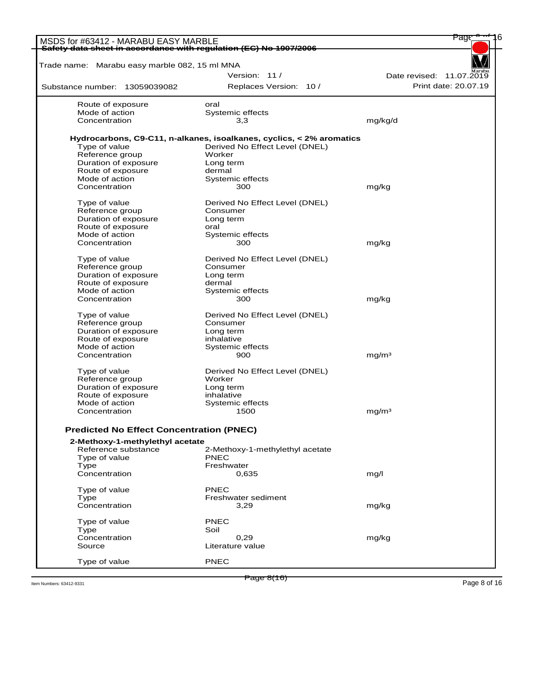| MSDS for #63412 - MARABU EASY MARBLE                              |                                                                      | Page                     |
|-------------------------------------------------------------------|----------------------------------------------------------------------|--------------------------|
| Safety data sheet in accordance with regulation (EC) No 1907/2006 |                                                                      |                          |
| Trade name: Marabu easy marble 082, 15 ml MNA                     |                                                                      |                          |
|                                                                   | Version: 11/                                                         | Date revised: 11.07.2019 |
| Substance number: 13059039082                                     | Replaces Version: 10 /                                               | Print date: 20.07.19     |
|                                                                   |                                                                      |                          |
| Route of exposure                                                 | oral                                                                 |                          |
| Mode of action                                                    | Systemic effects                                                     |                          |
| Concentration                                                     | 3,3                                                                  | mg/kg/d                  |
|                                                                   | Hydrocarbons, C9-C11, n-alkanes, isoalkanes, cyclics, < 2% aromatics |                          |
| Type of value                                                     | Derived No Effect Level (DNEL)                                       |                          |
| Reference group                                                   | Worker                                                               |                          |
| Duration of exposure                                              | Long term                                                            |                          |
| Route of exposure                                                 | dermal                                                               |                          |
| Mode of action                                                    | Systemic effects                                                     |                          |
| Concentration                                                     | 300                                                                  | mg/kg                    |
|                                                                   |                                                                      |                          |
| Type of value                                                     | Derived No Effect Level (DNEL)                                       |                          |
| Reference group                                                   | Consumer                                                             |                          |
| Duration of exposure                                              | Long term                                                            |                          |
| Route of exposure                                                 | oral                                                                 |                          |
| Mode of action                                                    | Systemic effects                                                     |                          |
| Concentration                                                     | 300                                                                  | mg/kg                    |
|                                                                   |                                                                      |                          |
| Type of value                                                     | Derived No Effect Level (DNEL)                                       |                          |
| Reference group                                                   | Consumer                                                             |                          |
| Duration of exposure                                              | Long term                                                            |                          |
| Route of exposure                                                 | dermal                                                               |                          |
| Mode of action                                                    | Systemic effects                                                     |                          |
| Concentration                                                     | 300                                                                  | mg/kg                    |
| Type of value                                                     | Derived No Effect Level (DNEL)                                       |                          |
| Reference group                                                   | Consumer                                                             |                          |
| Duration of exposure                                              | Long term                                                            |                          |
| Route of exposure                                                 | inhalative                                                           |                          |
| Mode of action                                                    | Systemic effects                                                     |                          |
| Concentration                                                     | 900                                                                  | mg/m <sup>3</sup>        |
|                                                                   |                                                                      |                          |
| Type of value                                                     | Derived No Effect Level (DNEL)                                       |                          |
| Reference group                                                   | Worker                                                               |                          |
| Duration of exposure                                              | Long term                                                            |                          |
| Route of exposure                                                 | inhalative                                                           |                          |
| Mode of action                                                    | Systemic effects                                                     |                          |
| Concentration                                                     | 1500                                                                 | mg/m <sup>3</sup>        |
|                                                                   |                                                                      |                          |
| <b>Predicted No Effect Concentration (PNEC)</b>                   |                                                                      |                          |
| 2-Methoxy-1-methylethyl acetate                                   |                                                                      |                          |
| Reference substance                                               | 2-Methoxy-1-methylethyl acetate                                      |                          |
| Type of value                                                     | <b>PNEC</b>                                                          |                          |
| Type                                                              | Freshwater                                                           |                          |
| Concentration                                                     | 0,635                                                                | mg/l                     |
| Type of value                                                     | PNEC                                                                 |                          |
| Type                                                              | Freshwater sediment                                                  |                          |
| Concentration                                                     | 3,29                                                                 | mg/kg                    |
|                                                                   |                                                                      |                          |
| Type of value                                                     | <b>PNEC</b>                                                          |                          |
| Type                                                              | Soil                                                                 |                          |
| Concentration                                                     | 0,29                                                                 | mg/kg                    |
| Source                                                            | Literature value                                                     |                          |
|                                                                   |                                                                      |                          |
| Type of value                                                     | <b>PNEC</b>                                                          |                          |

Item Numbers: 63412-9331 Page 8 of 16

Page 8(16)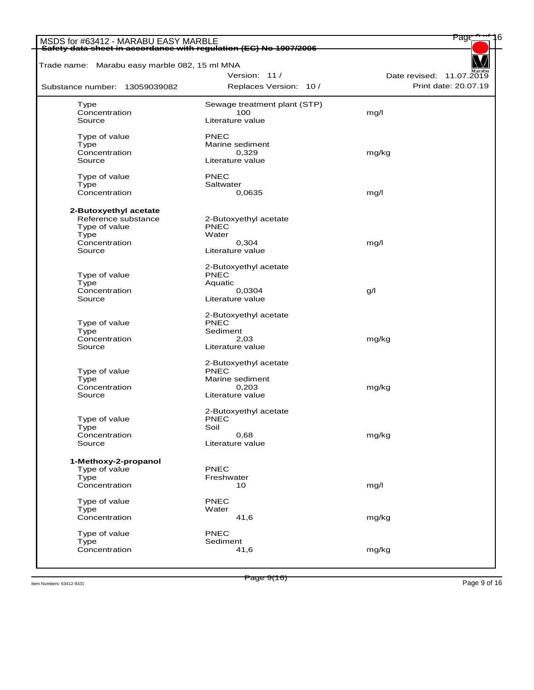| MSDS for #63412 - MARABU EASY MARBLE<br>Safety data sheet in accordance with regulation (EC) No 1907/2006 |                              | <u>Page</u>              |
|-----------------------------------------------------------------------------------------------------------|------------------------------|--------------------------|
| Trade name: Marabu easy marble 082, 15 ml MNA                                                             |                              |                          |
|                                                                                                           | Version: 11/                 | Date revised: 11.07.2019 |
| Substance number: 13059039082                                                                             | Replaces Version: 10 /       | Print date: 20.07.19     |
| Type                                                                                                      | Sewage treatment plant (STP) |                          |
| Concentration                                                                                             | 100                          | mg/l                     |
| Source                                                                                                    | Literature value             |                          |
| Type of value                                                                                             | <b>PNEC</b>                  |                          |
| Type                                                                                                      | Marine sediment              |                          |
| Concentration                                                                                             | 0,329                        | mg/kg                    |
| Source                                                                                                    | Literature value             |                          |
| Type of value                                                                                             | PNEC                         |                          |
| Type                                                                                                      | Saltwater                    |                          |
| Concentration                                                                                             | 0,0635                       | mg/l                     |
| 2-Butoxyethyl acetate                                                                                     |                              |                          |
| Reference substance                                                                                       | 2-Butoxyethyl acetate        |                          |
| Type of value                                                                                             | PNEC                         |                          |
| Type                                                                                                      | Water                        |                          |
| Concentration                                                                                             | 0,304                        | mg/l                     |
| Source                                                                                                    | Literature value             |                          |
|                                                                                                           | 2-Butoxyethyl acetate        |                          |
| Type of value                                                                                             | PNEC                         |                          |
| Type                                                                                                      | Aquatic                      |                          |
| Concentration                                                                                             | 0,0304                       | g/l                      |
| Source                                                                                                    | Literature value             |                          |
|                                                                                                           | 2-Butoxyethyl acetate        |                          |
| Type of value                                                                                             | PNEC                         |                          |
| Type                                                                                                      | Sediment                     |                          |
| Concentration                                                                                             | 2,03                         | mg/kg                    |
| Source                                                                                                    | Literature value             |                          |
|                                                                                                           | 2-Butoxyethyl acetate        |                          |
| Type of value                                                                                             | PNEC                         |                          |
| Type                                                                                                      | Marine sediment              |                          |
| Concentration                                                                                             | 0,203                        | mg/kg                    |
| Source                                                                                                    | Literature value             |                          |
|                                                                                                           | 2-Butoxyethyl acetate        |                          |
| Type of value                                                                                             | <b>PNEC</b>                  |                          |
| Type                                                                                                      | Soil                         |                          |
| Concentration                                                                                             | 0,68                         | mg/kg                    |
| Source                                                                                                    | Literature value             |                          |
| 1-Methoxy-2-propanol                                                                                      |                              |                          |
| Type of value                                                                                             | PNEC                         |                          |
| Type                                                                                                      | Freshwater                   |                          |
| Concentration                                                                                             | 10                           | mg/l                     |
| Type of value                                                                                             | <b>PNEC</b>                  |                          |
| <b>Type</b>                                                                                               | Water                        |                          |
| Concentration                                                                                             | 41,6                         | mg/kg                    |
| Type of value                                                                                             | <b>PNEC</b>                  |                          |
| Type                                                                                                      | Sediment                     |                          |
| Concentration                                                                                             | 41,6                         | mg/kg                    |
|                                                                                                           |                              |                          |

Item Numbers: 63412-9331 Page 9 of 16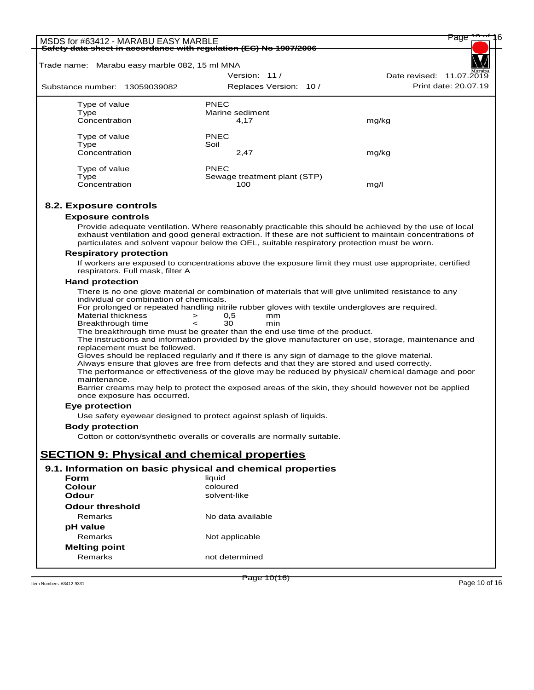| MSDS for #63412 - MARABU EASY MARBLE                              |                    |                                                                             | Page                                                                                                       |
|-------------------------------------------------------------------|--------------------|-----------------------------------------------------------------------------|------------------------------------------------------------------------------------------------------------|
| Safety data sheet in accordance with regulation (EC) No 1907/2006 |                    |                                                                             |                                                                                                            |
| Trade name: Marabu easy marble 082, 15 ml MNA                     |                    |                                                                             |                                                                                                            |
|                                                                   |                    | Version: 11/                                                                | Date revised: 11.07.2019                                                                                   |
| Substance number: 13059039082                                     |                    | Replaces Version: 10 /                                                      | Print date: 20.07.19                                                                                       |
|                                                                   |                    |                                                                             |                                                                                                            |
| Type of value                                                     | PNEC               |                                                                             |                                                                                                            |
| Type                                                              |                    | Marine sediment                                                             |                                                                                                            |
| Concentration                                                     |                    | 4,17                                                                        | mg/kg                                                                                                      |
| Type of value                                                     | <b>PNEC</b>        |                                                                             |                                                                                                            |
| Type                                                              | Soil               |                                                                             |                                                                                                            |
| Concentration                                                     |                    | 2,47                                                                        | mg/kg                                                                                                      |
| Type of value                                                     | <b>PNEC</b>        |                                                                             |                                                                                                            |
| Type                                                              |                    | Sewage treatment plant (STP)                                                |                                                                                                            |
| Concentration                                                     |                    | 100                                                                         | mg/l                                                                                                       |
|                                                                   |                    |                                                                             |                                                                                                            |
| 8.2. Exposure controls                                            |                    |                                                                             |                                                                                                            |
| <b>Exposure controls</b>                                          |                    |                                                                             |                                                                                                            |
|                                                                   |                    |                                                                             | Provide adequate ventilation. Where reasonably practicable this should be achieved by the use of local     |
|                                                                   |                    |                                                                             | exhaust ventilation and good general extraction. If these are not sufficient to maintain concentrations of |
|                                                                   |                    |                                                                             | particulates and solvent vapour below the OEL, suitable respiratory protection must be worn.               |
| <b>Respiratory protection</b>                                     |                    |                                                                             |                                                                                                            |
|                                                                   |                    |                                                                             | If workers are exposed to concentrations above the exposure limit they must use appropriate, certified     |
| respirators. Full mask, filter A                                  |                    |                                                                             |                                                                                                            |
| <b>Hand protection</b>                                            |                    |                                                                             |                                                                                                            |
| individual or combination of chemicals.                           |                    |                                                                             | There is no one glove material or combination of materials that will give unlimited resistance to any      |
|                                                                   |                    |                                                                             | For prolonged or repeated handling nitrile rubber gloves with textile undergloves are required.            |
| <b>Material thickness</b>                                         | 0,5<br>$\geq$      | mm                                                                          |                                                                                                            |
| Breakthrough time                                                 | 30<br>$\,<\,$      | min                                                                         |                                                                                                            |
|                                                                   |                    | The breakthrough time must be greater than the end use time of the product. |                                                                                                            |
| replacement must be followed.                                     |                    |                                                                             | The instructions and information provided by the glove manufacturer on use, storage, maintenance and       |
|                                                                   |                    |                                                                             | Gloves should be replaced regularly and if there is any sign of damage to the glove material.              |
|                                                                   |                    |                                                                             | Always ensure that gloves are free from defects and that they are stored and used correctly.               |
|                                                                   |                    |                                                                             | The performance or effectiveness of the glove may be reduced by physical/ chemical damage and poor         |
| maintenance.                                                      |                    |                                                                             |                                                                                                            |
| once exposure has occurred.                                       |                    |                                                                             | Barrier creams may help to protect the exposed areas of the skin, they should however not be applied       |
|                                                                   |                    |                                                                             |                                                                                                            |
| <b>Eye protection</b>                                             |                    | Use safety eyewear designed to protect against splash of liquids.           |                                                                                                            |
|                                                                   |                    |                                                                             |                                                                                                            |
| <b>Body protection</b>                                            |                    | Cotton or cotton/synthetic overalls or coveralls are normally suitable.     |                                                                                                            |
|                                                                   |                    |                                                                             |                                                                                                            |
| <b>SECTION 9: Physical and chemical properties</b>                |                    |                                                                             |                                                                                                            |
|                                                                   |                    |                                                                             |                                                                                                            |
| 9.1. Information on basic physical and chemical properties        |                    |                                                                             |                                                                                                            |
| Form<br>Colour                                                    | liquid<br>coloured |                                                                             |                                                                                                            |
| Odour                                                             | solvent-like       |                                                                             |                                                                                                            |
| <b>Odour threshold</b>                                            |                    |                                                                             |                                                                                                            |
| Remarks                                                           |                    | No data available                                                           |                                                                                                            |
|                                                                   |                    |                                                                             |                                                                                                            |
| pH value                                                          |                    |                                                                             |                                                                                                            |
| Remarks                                                           |                    | Not applicable                                                              |                                                                                                            |
| <b>Melting point</b>                                              |                    |                                                                             |                                                                                                            |
| Remarks                                                           |                    | not determined                                                              |                                                                                                            |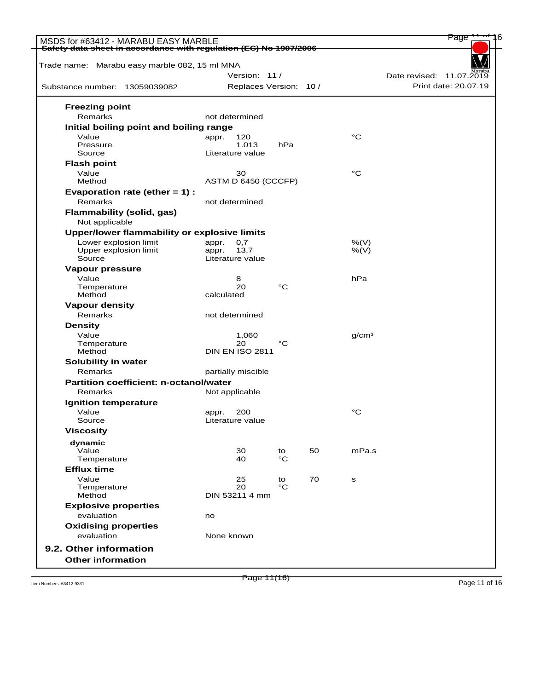| MSDS for #63412 - MARABU EASY MARBLE<br>Safety data sheet in accordance with regulation (EC) No 1907/2006 |                        |          |    |                   | Page                     |
|-----------------------------------------------------------------------------------------------------------|------------------------|----------|----|-------------------|--------------------------|
|                                                                                                           |                        |          |    |                   |                          |
| Trade name: Marabu easy marble 082, 15 ml MNA                                                             | Version: 11/           |          |    |                   | Date revised: 11.07.2019 |
| Substance number: 13059039082                                                                             | Replaces Version: 10 / |          |    |                   | Print date: 20.07.19     |
|                                                                                                           |                        |          |    |                   |                          |
| <b>Freezing point</b>                                                                                     |                        |          |    |                   |                          |
| Remarks                                                                                                   | not determined         |          |    |                   |                          |
| Initial boiling point and boiling range<br>Value                                                          | 120<br>appr.           |          |    | $^{\circ}C$       |                          |
| Pressure                                                                                                  | 1.013                  | hPa      |    |                   |                          |
| Source                                                                                                    | Literature value       |          |    |                   |                          |
| <b>Flash point</b>                                                                                        |                        |          |    |                   |                          |
| Value                                                                                                     | 30                     |          |    | °C                |                          |
| Method                                                                                                    | ASTM D 6450 (CCCFP)    |          |    |                   |                          |
| Evaporation rate (ether $= 1$ ) :<br>Remarks                                                              | not determined         |          |    |                   |                          |
| <b>Flammability (solid, gas)</b>                                                                          |                        |          |    |                   |                          |
| Not applicable                                                                                            |                        |          |    |                   |                          |
| Upper/lower flammability or explosive limits                                                              |                        |          |    |                   |                          |
| Lower explosion limit                                                                                     | appr.<br>0,7           |          |    | %(V)              |                          |
| Upper explosion limit                                                                                     | 13,7<br>appr.          |          |    | %(V)              |                          |
| Source                                                                                                    | Literature value       |          |    |                   |                          |
| Vapour pressure                                                                                           |                        |          |    |                   |                          |
| Value<br>Temperature                                                                                      | 8<br>20                | °C       |    | hPa               |                          |
| Method                                                                                                    | calculated             |          |    |                   |                          |
| <b>Vapour density</b>                                                                                     |                        |          |    |                   |                          |
| Remarks                                                                                                   | not determined         |          |    |                   |                          |
| <b>Density</b>                                                                                            |                        |          |    |                   |                          |
| Value                                                                                                     | 1,060                  |          |    | q/cm <sup>3</sup> |                          |
| Temperature                                                                                               | 20                     | °C       |    |                   |                          |
| Method                                                                                                    | <b>DIN EN ISO 2811</b> |          |    |                   |                          |
| Solubility in water<br>Remarks                                                                            | partially miscible     |          |    |                   |                          |
| Partition coefficient: n-octanol/water                                                                    |                        |          |    |                   |                          |
| Remarks                                                                                                   | Not applicable         |          |    |                   |                          |
| Ignition temperature                                                                                      |                        |          |    |                   |                          |
| Value                                                                                                     | 200<br>appr.           |          |    | °C                |                          |
| Source                                                                                                    | Literature value       |          |    |                   |                          |
| <b>Viscosity</b>                                                                                          |                        |          |    |                   |                          |
| dynamic                                                                                                   |                        |          |    |                   |                          |
| Value                                                                                                     | 30                     | to       | 50 | mPa.s             |                          |
| Temperature                                                                                               | 40                     | °C       |    |                   |                          |
| <b>Efflux time</b>                                                                                        |                        |          |    |                   |                          |
| Value<br>Temperature                                                                                      | 25<br>20               | to<br>°C | 70 | ${\bf s}$         |                          |
| Method                                                                                                    | DIN 53211 4 mm         |          |    |                   |                          |
| <b>Explosive properties</b>                                                                               |                        |          |    |                   |                          |
| evaluation                                                                                                | no                     |          |    |                   |                          |
| <b>Oxidising properties</b>                                                                               |                        |          |    |                   |                          |
| evaluation                                                                                                | None known             |          |    |                   |                          |
| 9.2. Other information                                                                                    |                        |          |    |                   |                          |
| <b>Other information</b>                                                                                  |                        |          |    |                   |                          |
|                                                                                                           |                        |          |    |                   |                          |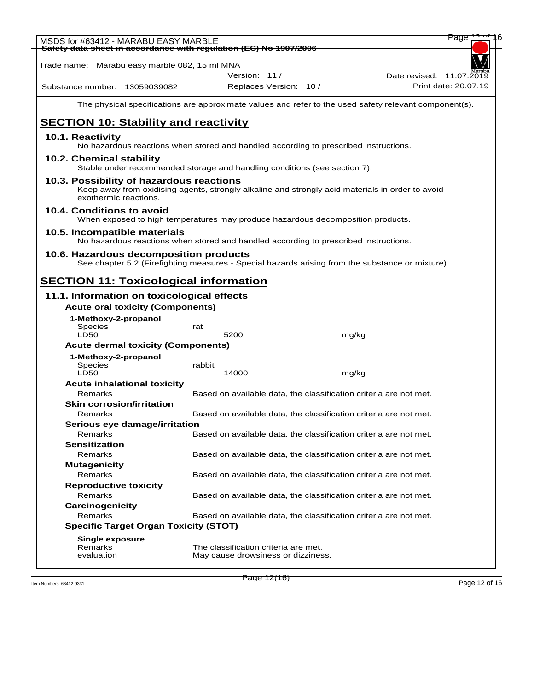| MSDS for #63412 - MARABU EASY MARBLE<br>Safety data sheet in accordance with regulation (EC) No 1907/2006                                                             |                                                                   |       | Page                                                                                                   |
|-----------------------------------------------------------------------------------------------------------------------------------------------------------------------|-------------------------------------------------------------------|-------|--------------------------------------------------------------------------------------------------------|
|                                                                                                                                                                       |                                                                   |       |                                                                                                        |
| Trade name: Marabu easy marble 082, 15 ml MNA                                                                                                                         |                                                                   |       |                                                                                                        |
|                                                                                                                                                                       | Version: 11 /                                                     |       | Date revised: 11.07.2019<br>Print date: 20.07.19                                                       |
| Substance number: 13059039082                                                                                                                                         | Replaces Version: 10 /                                            |       |                                                                                                        |
|                                                                                                                                                                       |                                                                   |       | The physical specifications are approximate values and refer to the used safety relevant component(s). |
| <b>SECTION 10: Stability and reactivity</b>                                                                                                                           |                                                                   |       |                                                                                                        |
| 10.1. Reactivity<br>No hazardous reactions when stored and handled according to prescribed instructions.                                                              |                                                                   |       |                                                                                                        |
| 10.2. Chemical stability<br>Stable under recommended storage and handling conditions (see section 7).                                                                 |                                                                   |       |                                                                                                        |
| 10.3. Possibility of hazardous reactions<br>Keep away from oxidising agents, strongly alkaline and strongly acid materials in order to avoid<br>exothermic reactions. |                                                                   |       |                                                                                                        |
| 10.4. Conditions to avoid<br>When exposed to high temperatures may produce hazardous decomposition products.                                                          |                                                                   |       |                                                                                                        |
| 10.5. Incompatible materials<br>No hazardous reactions when stored and handled according to prescribed instructions.                                                  |                                                                   |       |                                                                                                        |
| 10.6. Hazardous decomposition products<br>See chapter 5.2 (Firefighting measures - Special hazards arising from the substance or mixture).                            |                                                                   |       |                                                                                                        |
| <b>SECTION 11: Toxicological information</b>                                                                                                                          |                                                                   |       |                                                                                                        |
|                                                                                                                                                                       |                                                                   |       |                                                                                                        |
| 11.1. Information on toxicological effects                                                                                                                            |                                                                   |       |                                                                                                        |
| <b>Acute oral toxicity (Components)</b>                                                                                                                               |                                                                   |       |                                                                                                        |
| 1-Methoxy-2-propanol<br><b>Species</b><br><b>LD50</b>                                                                                                                 | rat<br>5200                                                       | mg/kg |                                                                                                        |
| <b>Acute dermal toxicity (Components)</b>                                                                                                                             |                                                                   |       |                                                                                                        |
|                                                                                                                                                                       |                                                                   |       |                                                                                                        |
| 1-Methoxy-2-propanol                                                                                                                                                  | rabbit                                                            |       |                                                                                                        |
| <b>Species</b><br><b>LD50</b>                                                                                                                                         | 14000                                                             | mg/kg |                                                                                                        |
| <b>Acute inhalational toxicity</b>                                                                                                                                    |                                                                   |       |                                                                                                        |
| Remarks                                                                                                                                                               | Based on available data, the classification criteria are not met. |       |                                                                                                        |
| <b>Skin corrosion/irritation</b>                                                                                                                                      |                                                                   |       |                                                                                                        |
| Remarks                                                                                                                                                               | Based on available data, the classification criteria are not met. |       |                                                                                                        |
| Serious eye damage/irritation                                                                                                                                         |                                                                   |       |                                                                                                        |
| Remarks                                                                                                                                                               | Based on available data, the classification criteria are not met. |       |                                                                                                        |
| <b>Sensitization</b>                                                                                                                                                  |                                                                   |       |                                                                                                        |
| Remarks                                                                                                                                                               | Based on available data, the classification criteria are not met. |       |                                                                                                        |
| <b>Mutagenicity</b>                                                                                                                                                   |                                                                   |       |                                                                                                        |
| Remarks                                                                                                                                                               | Based on available data, the classification criteria are not met. |       |                                                                                                        |
| <b>Reproductive toxicity</b>                                                                                                                                          |                                                                   |       |                                                                                                        |
| Remarks                                                                                                                                                               | Based on available data, the classification criteria are not met. |       |                                                                                                        |
| Carcinogenicity                                                                                                                                                       |                                                                   |       |                                                                                                        |
| Remarks                                                                                                                                                               |                                                                   |       |                                                                                                        |
| <b>Specific Target Organ Toxicity (STOT)</b>                                                                                                                          | Based on available data, the classification criteria are not met. |       |                                                                                                        |
|                                                                                                                                                                       |                                                                   |       |                                                                                                        |
| <b>Single exposure</b>                                                                                                                                                | The classification criteria are met.                              |       |                                                                                                        |
| Remarks<br>evaluation                                                                                                                                                 | May cause drowsiness or dizziness.                                |       |                                                                                                        |
|                                                                                                                                                                       |                                                                   |       |                                                                                                        |

Item Numbers: 63412-9331 Page 12 (10)<br>Item Numbers: 63412-9331 Page 12 of 16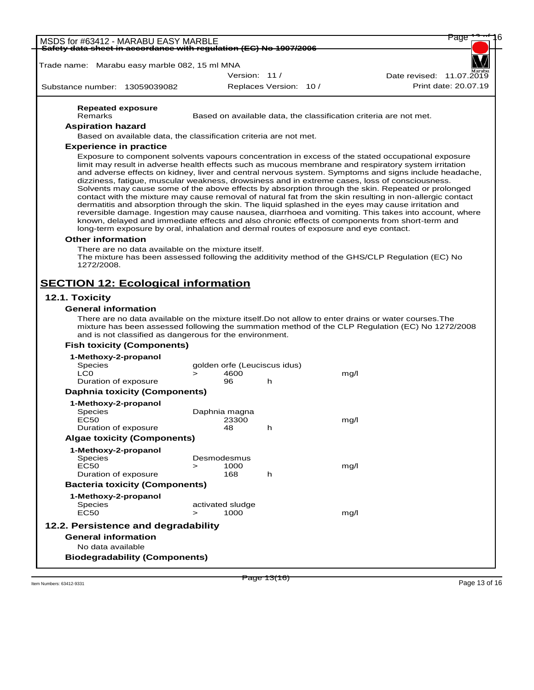| <del>Safety data sheet in accordance with regulation (EC) No 1907/2006</del> |                                                                                                                                             | MSDS for #63412 - MARABU EASY MARBLE |                              |                        |      | Page                                                                                                                                                                                                                                                                                                                                                                                                                                                                                                                                                                                                                                                                                                                                                                                                                                                   |
|------------------------------------------------------------------------------|---------------------------------------------------------------------------------------------------------------------------------------------|--------------------------------------|------------------------------|------------------------|------|--------------------------------------------------------------------------------------------------------------------------------------------------------------------------------------------------------------------------------------------------------------------------------------------------------------------------------------------------------------------------------------------------------------------------------------------------------------------------------------------------------------------------------------------------------------------------------------------------------------------------------------------------------------------------------------------------------------------------------------------------------------------------------------------------------------------------------------------------------|
|                                                                              |                                                                                                                                             |                                      |                              |                        |      |                                                                                                                                                                                                                                                                                                                                                                                                                                                                                                                                                                                                                                                                                                                                                                                                                                                        |
| Trade name: Marabu easy marble 082, 15 ml MNA                                |                                                                                                                                             |                                      |                              |                        |      |                                                                                                                                                                                                                                                                                                                                                                                                                                                                                                                                                                                                                                                                                                                                                                                                                                                        |
|                                                                              |                                                                                                                                             |                                      | Version: 11 /                |                        |      | Date revised: 11.07.2019                                                                                                                                                                                                                                                                                                                                                                                                                                                                                                                                                                                                                                                                                                                                                                                                                               |
| Substance number: 13059039082                                                |                                                                                                                                             |                                      |                              | Replaces Version: 10 / |      | Print date: 20.07.19                                                                                                                                                                                                                                                                                                                                                                                                                                                                                                                                                                                                                                                                                                                                                                                                                                   |
| <b>Repeated exposure</b>                                                     |                                                                                                                                             |                                      |                              |                        |      |                                                                                                                                                                                                                                                                                                                                                                                                                                                                                                                                                                                                                                                                                                                                                                                                                                                        |
| Remarks                                                                      |                                                                                                                                             |                                      |                              |                        |      | Based on available data, the classification criteria are not met.                                                                                                                                                                                                                                                                                                                                                                                                                                                                                                                                                                                                                                                                                                                                                                                      |
| <b>Aspiration hazard</b>                                                     |                                                                                                                                             |                                      |                              |                        |      |                                                                                                                                                                                                                                                                                                                                                                                                                                                                                                                                                                                                                                                                                                                                                                                                                                                        |
|                                                                              | Based on available data, the classification criteria are not met.                                                                           |                                      |                              |                        |      |                                                                                                                                                                                                                                                                                                                                                                                                                                                                                                                                                                                                                                                                                                                                                                                                                                                        |
| <b>Experience in practice</b>                                                |                                                                                                                                             |                                      |                              |                        |      |                                                                                                                                                                                                                                                                                                                                                                                                                                                                                                                                                                                                                                                                                                                                                                                                                                                        |
| <b>Other information</b>                                                     | long-term exposure by oral, inhalation and dermal routes of exposure and eye contact.<br>There are no data available on the mixture itself. |                                      |                              |                        |      | limit may result in adverse health effects such as mucous membrane and respiratory system irritation<br>and adverse effects on kidney, liver and central nervous system. Symptoms and signs include headache,<br>dizziness, fatigue, muscular weakness, drowsiness and in extreme cases, loss of consciousness.<br>Solvents may cause some of the above effects by absorption through the skin. Repeated or prolonged<br>contact with the mixture may cause removal of natural fat from the skin resulting in non-allergic contact<br>dermatitis and absorption through the skin. The liquid splashed in the eyes may cause irritation and<br>reversible damage. Ingestion may cause nausea, diarrhoea and vomiting. This takes into account, where<br>known, delayed and immediate effects and also chronic effects of components from short-term and |
| 1272/2008.                                                                   |                                                                                                                                             |                                      |                              |                        |      | The mixture has been assessed following the additivity method of the GHS/CLP Regulation (EC) No                                                                                                                                                                                                                                                                                                                                                                                                                                                                                                                                                                                                                                                                                                                                                        |
| <b>SECTION 12: Ecological information</b>                                    |                                                                                                                                             |                                      |                              |                        |      |                                                                                                                                                                                                                                                                                                                                                                                                                                                                                                                                                                                                                                                                                                                                                                                                                                                        |
|                                                                              |                                                                                                                                             |                                      |                              |                        |      |                                                                                                                                                                                                                                                                                                                                                                                                                                                                                                                                                                                                                                                                                                                                                                                                                                                        |
| 12.1. Toxicity                                                               |                                                                                                                                             |                                      |                              |                        |      |                                                                                                                                                                                                                                                                                                                                                                                                                                                                                                                                                                                                                                                                                                                                                                                                                                                        |
| <b>General information</b>                                                   | and is not classified as dangerous for the environment.                                                                                     |                                      |                              |                        |      | There are no data available on the mixture itself. Do not allow to enter drains or water courses. The<br>mixture has been assessed following the summation method of the CLP Regulation (EC) No 1272/2008                                                                                                                                                                                                                                                                                                                                                                                                                                                                                                                                                                                                                                              |
| <b>Fish toxicity (Components)</b>                                            |                                                                                                                                             |                                      |                              |                        |      |                                                                                                                                                                                                                                                                                                                                                                                                                                                                                                                                                                                                                                                                                                                                                                                                                                                        |
| 1-Methoxy-2-propanol                                                         |                                                                                                                                             |                                      |                              |                        |      |                                                                                                                                                                                                                                                                                                                                                                                                                                                                                                                                                                                                                                                                                                                                                                                                                                                        |
| <b>Species</b>                                                               |                                                                                                                                             |                                      | golden orfe (Leuciscus idus) |                        |      |                                                                                                                                                                                                                                                                                                                                                                                                                                                                                                                                                                                                                                                                                                                                                                                                                                                        |
| LC <sub>0</sub>                                                              |                                                                                                                                             | $\geq$                               | 4600                         |                        | mg/l |                                                                                                                                                                                                                                                                                                                                                                                                                                                                                                                                                                                                                                                                                                                                                                                                                                                        |
| Duration of exposure                                                         |                                                                                                                                             |                                      | 96                           | h                      |      |                                                                                                                                                                                                                                                                                                                                                                                                                                                                                                                                                                                                                                                                                                                                                                                                                                                        |
| <b>Daphnia toxicity (Components)</b>                                         |                                                                                                                                             |                                      |                              |                        |      |                                                                                                                                                                                                                                                                                                                                                                                                                                                                                                                                                                                                                                                                                                                                                                                                                                                        |
| 1-Methoxy-2-propanol<br>Species                                              |                                                                                                                                             |                                      | Daphnia magna                |                        |      |                                                                                                                                                                                                                                                                                                                                                                                                                                                                                                                                                                                                                                                                                                                                                                                                                                                        |
| <b>EC50</b>                                                                  |                                                                                                                                             |                                      | 23300                        |                        | mg/l |                                                                                                                                                                                                                                                                                                                                                                                                                                                                                                                                                                                                                                                                                                                                                                                                                                                        |
| Duration of exposure                                                         |                                                                                                                                             |                                      | 48                           | h                      |      |                                                                                                                                                                                                                                                                                                                                                                                                                                                                                                                                                                                                                                                                                                                                                                                                                                                        |
| <b>Algae toxicity (Components)</b>                                           |                                                                                                                                             |                                      |                              |                        |      |                                                                                                                                                                                                                                                                                                                                                                                                                                                                                                                                                                                                                                                                                                                                                                                                                                                        |
| 1-Methoxy-2-propanol                                                         |                                                                                                                                             |                                      |                              |                        |      |                                                                                                                                                                                                                                                                                                                                                                                                                                                                                                                                                                                                                                                                                                                                                                                                                                                        |
| <b>Species</b>                                                               |                                                                                                                                             |                                      | Desmodesmus                  |                        |      |                                                                                                                                                                                                                                                                                                                                                                                                                                                                                                                                                                                                                                                                                                                                                                                                                                                        |
| EC50                                                                         |                                                                                                                                             | $\geq$                               | 1000                         |                        | mg/l |                                                                                                                                                                                                                                                                                                                                                                                                                                                                                                                                                                                                                                                                                                                                                                                                                                                        |
| Duration of exposure                                                         |                                                                                                                                             |                                      | 168                          | h.                     |      |                                                                                                                                                                                                                                                                                                                                                                                                                                                                                                                                                                                                                                                                                                                                                                                                                                                        |
| <b>Bacteria toxicity (Components)</b>                                        |                                                                                                                                             |                                      |                              |                        |      |                                                                                                                                                                                                                                                                                                                                                                                                                                                                                                                                                                                                                                                                                                                                                                                                                                                        |
| 1-Methoxy-2-propanol                                                         |                                                                                                                                             |                                      |                              |                        |      |                                                                                                                                                                                                                                                                                                                                                                                                                                                                                                                                                                                                                                                                                                                                                                                                                                                        |
| Species<br>EC50                                                              |                                                                                                                                             | $\geq$                               | activated sludge<br>1000     |                        | mg/l |                                                                                                                                                                                                                                                                                                                                                                                                                                                                                                                                                                                                                                                                                                                                                                                                                                                        |
| 12.2. Persistence and degradability                                          |                                                                                                                                             |                                      |                              |                        |      |                                                                                                                                                                                                                                                                                                                                                                                                                                                                                                                                                                                                                                                                                                                                                                                                                                                        |
| <b>General information</b>                                                   |                                                                                                                                             |                                      |                              |                        |      |                                                                                                                                                                                                                                                                                                                                                                                                                                                                                                                                                                                                                                                                                                                                                                                                                                                        |
| No data available                                                            |                                                                                                                                             |                                      |                              |                        |      |                                                                                                                                                                                                                                                                                                                                                                                                                                                                                                                                                                                                                                                                                                                                                                                                                                                        |

Page 13(16)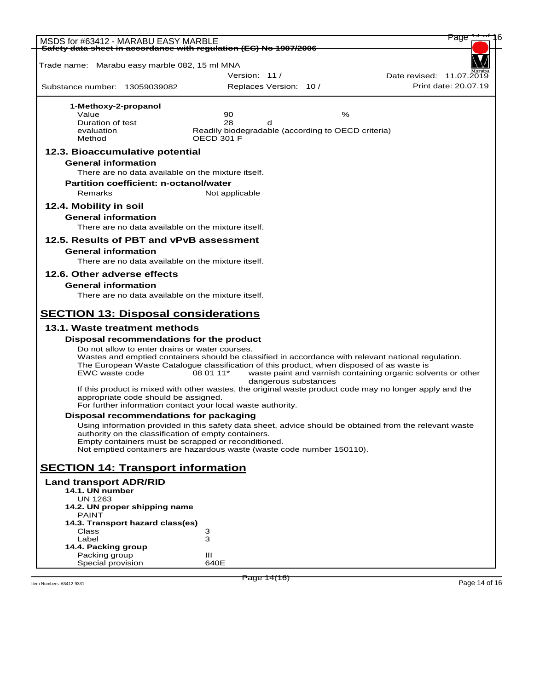| MSDS for #63412 - MARABU EASY MARBLE                              |                                                      |                                                                                                        |   | Page                                                                                                    |
|-------------------------------------------------------------------|------------------------------------------------------|--------------------------------------------------------------------------------------------------------|---|---------------------------------------------------------------------------------------------------------|
| Safety data sheet in accordance with regulation (EC) No 1907/2006 |                                                      |                                                                                                        |   |                                                                                                         |
|                                                                   |                                                      |                                                                                                        |   |                                                                                                         |
| Trade name: Marabu easy marble 082, 15 ml MNA                     |                                                      |                                                                                                        |   |                                                                                                         |
|                                                                   |                                                      | Version: 11 /                                                                                          |   | Date revised: 11.07.2019                                                                                |
| Substance number: 13059039082                                     |                                                      | Replaces Version: 10 /                                                                                 |   | Print date: 20.07.19                                                                                    |
|                                                                   |                                                      |                                                                                                        |   |                                                                                                         |
| 1-Methoxy-2-propanol<br>Value                                     |                                                      | 90                                                                                                     | % |                                                                                                         |
| Duration of test                                                  |                                                      | 28<br>d                                                                                                |   |                                                                                                         |
| evaluation                                                        |                                                      | Readily biodegradable (according to OECD criteria)                                                     |   |                                                                                                         |
| Method                                                            |                                                      | OFCD 301 F                                                                                             |   |                                                                                                         |
| 12.3. Bioaccumulative potential                                   |                                                      |                                                                                                        |   |                                                                                                         |
| <b>General information</b>                                        |                                                      |                                                                                                        |   |                                                                                                         |
|                                                                   | There are no data available on the mixture itself.   |                                                                                                        |   |                                                                                                         |
| <b>Partition coefficient: n-octanol/water</b>                     |                                                      |                                                                                                        |   |                                                                                                         |
| Remarks                                                           |                                                      | Not applicable                                                                                         |   |                                                                                                         |
|                                                                   |                                                      |                                                                                                        |   |                                                                                                         |
| 12.4. Mobility in soil                                            |                                                      |                                                                                                        |   |                                                                                                         |
| <b>General information</b>                                        |                                                      |                                                                                                        |   |                                                                                                         |
|                                                                   | There are no data available on the mixture itself.   |                                                                                                        |   |                                                                                                         |
| 12.5. Results of PBT and vPvB assessment                          |                                                      |                                                                                                        |   |                                                                                                         |
| <b>General information</b>                                        |                                                      |                                                                                                        |   |                                                                                                         |
|                                                                   | There are no data available on the mixture itself.   |                                                                                                        |   |                                                                                                         |
| 12.6. Other adverse effects                                       |                                                      |                                                                                                        |   |                                                                                                         |
|                                                                   |                                                      |                                                                                                        |   |                                                                                                         |
| <b>General information</b>                                        |                                                      |                                                                                                        |   |                                                                                                         |
|                                                                   | There are no data available on the mixture itself.   |                                                                                                        |   |                                                                                                         |
|                                                                   |                                                      |                                                                                                        |   |                                                                                                         |
| <b>SECTION 13: Disposal considerations</b>                        |                                                      |                                                                                                        |   |                                                                                                         |
| 13.1. Waste treatment methods                                     |                                                      |                                                                                                        |   |                                                                                                         |
| Disposal recommendations for the product                          |                                                      |                                                                                                        |   |                                                                                                         |
|                                                                   | Do not allow to enter drains or water courses.       |                                                                                                        |   |                                                                                                         |
|                                                                   |                                                      |                                                                                                        |   | Wastes and emptied containers should be classified in accordance with relevant national regulation.     |
| EWC waste code                                                    |                                                      | The European Waste Catalogue classification of this product, when disposed of as waste is<br>08 01 11* |   | waste paint and varnish containing organic solvents or other                                            |
|                                                                   |                                                      | dangerous substances                                                                                   |   |                                                                                                         |
|                                                                   |                                                      |                                                                                                        |   | If this product is mixed with other wastes, the original waste product code may no longer apply and the |
|                                                                   | appropriate code should be assigned.                 |                                                                                                        |   |                                                                                                         |
|                                                                   |                                                      | For further information contact your local waste authority.                                            |   |                                                                                                         |
| Disposal recommendations for packaging                            |                                                      |                                                                                                        |   |                                                                                                         |
|                                                                   |                                                      |                                                                                                        |   | Using information provided in this safety data sheet, advice should be obtained from the relevant waste |
|                                                                   | authority on the classification of empty containers. | Empty containers must be scrapped or reconditioned.                                                    |   |                                                                                                         |
|                                                                   |                                                      | Not emptied containers are hazardous waste (waste code number 150110).                                 |   |                                                                                                         |
|                                                                   |                                                      |                                                                                                        |   |                                                                                                         |
| <b>SECTION 14: Transport information</b>                          |                                                      |                                                                                                        |   |                                                                                                         |
| <b>Land transport ADR/RID</b>                                     |                                                      |                                                                                                        |   |                                                                                                         |
| 14.1. UN number                                                   |                                                      |                                                                                                        |   |                                                                                                         |
| <b>UN 1263</b>                                                    |                                                      |                                                                                                        |   |                                                                                                         |
| 14.2. UN proper shipping name                                     |                                                      |                                                                                                        |   |                                                                                                         |
| PAINT                                                             |                                                      |                                                                                                        |   |                                                                                                         |
| 14.3. Transport hazard class(es)                                  |                                                      |                                                                                                        |   |                                                                                                         |
| Class<br>Label                                                    | 3<br>з                                               |                                                                                                        |   |                                                                                                         |
| 14.4. Packing group                                               |                                                      |                                                                                                        |   |                                                                                                         |
| Packing group                                                     | Ш                                                    |                                                                                                        |   |                                                                                                         |
| Special provision                                                 |                                                      | 640E                                                                                                   |   |                                                                                                         |

Item Numbers: 63412-9331 Page 14 of 16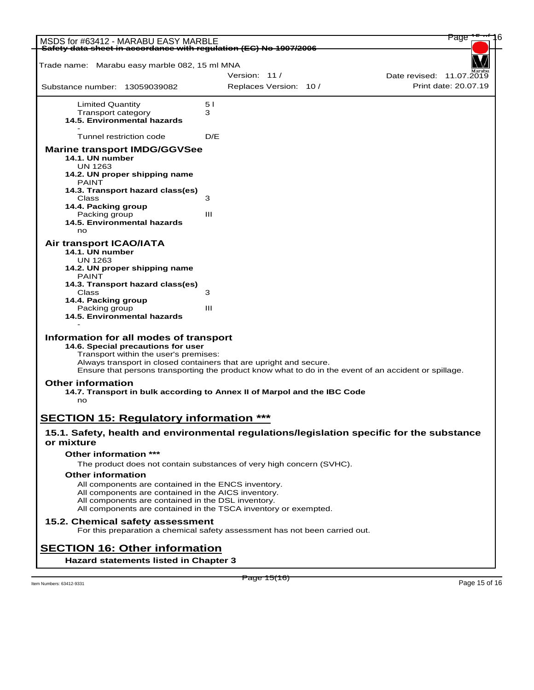| Trade name: Marabu easy marble 082, 15 ml MNA<br>Version: 11/<br>Date revised: 11.07.2019<br>Print date: 20.07.19<br>Replaces Version: 10 /<br>Substance number: 13059039082<br>51<br><b>Limited Quantity</b><br>Transport category<br>3<br>14.5. Environmental hazards<br>Tunnel restriction code<br>D/E<br><b>Marine transport IMDG/GGVSee</b><br>14.1. UN number<br><b>UN 1263</b><br>14.2. UN proper shipping name<br><b>PAINT</b><br>14.3. Transport hazard class(es)<br>Class<br>3<br>14.4. Packing group<br>Packing group<br>Ш<br>14.5. Environmental hazards<br>no<br>Air transport ICAO/IATA<br>14.1. UN number<br>UN 1263<br>14.2. UN proper shipping name<br><b>PAINT</b><br>14.3. Transport hazard class(es)<br>Class<br>3<br>14.4. Packing group<br>$\mathbf{III}$<br>Packing group<br>14.5. Environmental hazards<br>Information for all modes of transport<br>14.6. Special precautions for user<br>Transport within the user's premises:<br>Always transport in closed containers that are upright and secure.<br>Ensure that persons transporting the product know what to do in the event of an accident or spillage.<br><b>Other information</b><br>14.7. Transport in bulk according to Annex II of Marpol and the IBC Code<br>no<br><b>SECTION 15: Regulatory information ***</b><br>15.1. Safety, health and environmental regulations/legislation specific for the substance<br>or mixture<br>Other information ***<br>The product does not contain substances of very high concern (SVHC).<br><b>Other information</b><br>All components are contained in the ENCS inventory.<br>All components are contained in the AICS inventory.<br>All components are contained in the DSL inventory.<br>All components are contained in the TSCA inventory or exempted.<br>15.2. Chemical safety assessment<br>For this preparation a chemical safety assessment has not been carried out.<br><b>SECTION 16: Other information</b><br>Hazard statements listed in Chapter 3 | MSDS for #63412 - MARABU EASY MARBLE<br>Safety data sheet in accordance with regulation (EC) No 1907/2006 |  |
|-------------------------------------------------------------------------------------------------------------------------------------------------------------------------------------------------------------------------------------------------------------------------------------------------------------------------------------------------------------------------------------------------------------------------------------------------------------------------------------------------------------------------------------------------------------------------------------------------------------------------------------------------------------------------------------------------------------------------------------------------------------------------------------------------------------------------------------------------------------------------------------------------------------------------------------------------------------------------------------------------------------------------------------------------------------------------------------------------------------------------------------------------------------------------------------------------------------------------------------------------------------------------------------------------------------------------------------------------------------------------------------------------------------------------------------------------------------------------------------------------------------------------------------------------------------------------------------------------------------------------------------------------------------------------------------------------------------------------------------------------------------------------------------------------------------------------------------------------------------------------------------------------------------------------------------------------------------------------------------------|-----------------------------------------------------------------------------------------------------------|--|
|                                                                                                                                                                                                                                                                                                                                                                                                                                                                                                                                                                                                                                                                                                                                                                                                                                                                                                                                                                                                                                                                                                                                                                                                                                                                                                                                                                                                                                                                                                                                                                                                                                                                                                                                                                                                                                                                                                                                                                                           |                                                                                                           |  |
|                                                                                                                                                                                                                                                                                                                                                                                                                                                                                                                                                                                                                                                                                                                                                                                                                                                                                                                                                                                                                                                                                                                                                                                                                                                                                                                                                                                                                                                                                                                                                                                                                                                                                                                                                                                                                                                                                                                                                                                           |                                                                                                           |  |
|                                                                                                                                                                                                                                                                                                                                                                                                                                                                                                                                                                                                                                                                                                                                                                                                                                                                                                                                                                                                                                                                                                                                                                                                                                                                                                                                                                                                                                                                                                                                                                                                                                                                                                                                                                                                                                                                                                                                                                                           |                                                                                                           |  |
|                                                                                                                                                                                                                                                                                                                                                                                                                                                                                                                                                                                                                                                                                                                                                                                                                                                                                                                                                                                                                                                                                                                                                                                                                                                                                                                                                                                                                                                                                                                                                                                                                                                                                                                                                                                                                                                                                                                                                                                           |                                                                                                           |  |
|                                                                                                                                                                                                                                                                                                                                                                                                                                                                                                                                                                                                                                                                                                                                                                                                                                                                                                                                                                                                                                                                                                                                                                                                                                                                                                                                                                                                                                                                                                                                                                                                                                                                                                                                                                                                                                                                                                                                                                                           |                                                                                                           |  |
|                                                                                                                                                                                                                                                                                                                                                                                                                                                                                                                                                                                                                                                                                                                                                                                                                                                                                                                                                                                                                                                                                                                                                                                                                                                                                                                                                                                                                                                                                                                                                                                                                                                                                                                                                                                                                                                                                                                                                                                           |                                                                                                           |  |
|                                                                                                                                                                                                                                                                                                                                                                                                                                                                                                                                                                                                                                                                                                                                                                                                                                                                                                                                                                                                                                                                                                                                                                                                                                                                                                                                                                                                                                                                                                                                                                                                                                                                                                                                                                                                                                                                                                                                                                                           |                                                                                                           |  |
|                                                                                                                                                                                                                                                                                                                                                                                                                                                                                                                                                                                                                                                                                                                                                                                                                                                                                                                                                                                                                                                                                                                                                                                                                                                                                                                                                                                                                                                                                                                                                                                                                                                                                                                                                                                                                                                                                                                                                                                           |                                                                                                           |  |
|                                                                                                                                                                                                                                                                                                                                                                                                                                                                                                                                                                                                                                                                                                                                                                                                                                                                                                                                                                                                                                                                                                                                                                                                                                                                                                                                                                                                                                                                                                                                                                                                                                                                                                                                                                                                                                                                                                                                                                                           |                                                                                                           |  |
|                                                                                                                                                                                                                                                                                                                                                                                                                                                                                                                                                                                                                                                                                                                                                                                                                                                                                                                                                                                                                                                                                                                                                                                                                                                                                                                                                                                                                                                                                                                                                                                                                                                                                                                                                                                                                                                                                                                                                                                           |                                                                                                           |  |
|                                                                                                                                                                                                                                                                                                                                                                                                                                                                                                                                                                                                                                                                                                                                                                                                                                                                                                                                                                                                                                                                                                                                                                                                                                                                                                                                                                                                                                                                                                                                                                                                                                                                                                                                                                                                                                                                                                                                                                                           |                                                                                                           |  |
|                                                                                                                                                                                                                                                                                                                                                                                                                                                                                                                                                                                                                                                                                                                                                                                                                                                                                                                                                                                                                                                                                                                                                                                                                                                                                                                                                                                                                                                                                                                                                                                                                                                                                                                                                                                                                                                                                                                                                                                           |                                                                                                           |  |
|                                                                                                                                                                                                                                                                                                                                                                                                                                                                                                                                                                                                                                                                                                                                                                                                                                                                                                                                                                                                                                                                                                                                                                                                                                                                                                                                                                                                                                                                                                                                                                                                                                                                                                                                                                                                                                                                                                                                                                                           |                                                                                                           |  |
|                                                                                                                                                                                                                                                                                                                                                                                                                                                                                                                                                                                                                                                                                                                                                                                                                                                                                                                                                                                                                                                                                                                                                                                                                                                                                                                                                                                                                                                                                                                                                                                                                                                                                                                                                                                                                                                                                                                                                                                           |                                                                                                           |  |
|                                                                                                                                                                                                                                                                                                                                                                                                                                                                                                                                                                                                                                                                                                                                                                                                                                                                                                                                                                                                                                                                                                                                                                                                                                                                                                                                                                                                                                                                                                                                                                                                                                                                                                                                                                                                                                                                                                                                                                                           |                                                                                                           |  |
|                                                                                                                                                                                                                                                                                                                                                                                                                                                                                                                                                                                                                                                                                                                                                                                                                                                                                                                                                                                                                                                                                                                                                                                                                                                                                                                                                                                                                                                                                                                                                                                                                                                                                                                                                                                                                                                                                                                                                                                           |                                                                                                           |  |
|                                                                                                                                                                                                                                                                                                                                                                                                                                                                                                                                                                                                                                                                                                                                                                                                                                                                                                                                                                                                                                                                                                                                                                                                                                                                                                                                                                                                                                                                                                                                                                                                                                                                                                                                                                                                                                                                                                                                                                                           |                                                                                                           |  |
|                                                                                                                                                                                                                                                                                                                                                                                                                                                                                                                                                                                                                                                                                                                                                                                                                                                                                                                                                                                                                                                                                                                                                                                                                                                                                                                                                                                                                                                                                                                                                                                                                                                                                                                                                                                                                                                                                                                                                                                           |                                                                                                           |  |
|                                                                                                                                                                                                                                                                                                                                                                                                                                                                                                                                                                                                                                                                                                                                                                                                                                                                                                                                                                                                                                                                                                                                                                                                                                                                                                                                                                                                                                                                                                                                                                                                                                                                                                                                                                                                                                                                                                                                                                                           |                                                                                                           |  |
|                                                                                                                                                                                                                                                                                                                                                                                                                                                                                                                                                                                                                                                                                                                                                                                                                                                                                                                                                                                                                                                                                                                                                                                                                                                                                                                                                                                                                                                                                                                                                                                                                                                                                                                                                                                                                                                                                                                                                                                           |                                                                                                           |  |
|                                                                                                                                                                                                                                                                                                                                                                                                                                                                                                                                                                                                                                                                                                                                                                                                                                                                                                                                                                                                                                                                                                                                                                                                                                                                                                                                                                                                                                                                                                                                                                                                                                                                                                                                                                                                                                                                                                                                                                                           |                                                                                                           |  |
|                                                                                                                                                                                                                                                                                                                                                                                                                                                                                                                                                                                                                                                                                                                                                                                                                                                                                                                                                                                                                                                                                                                                                                                                                                                                                                                                                                                                                                                                                                                                                                                                                                                                                                                                                                                                                                                                                                                                                                                           |                                                                                                           |  |
|                                                                                                                                                                                                                                                                                                                                                                                                                                                                                                                                                                                                                                                                                                                                                                                                                                                                                                                                                                                                                                                                                                                                                                                                                                                                                                                                                                                                                                                                                                                                                                                                                                                                                                                                                                                                                                                                                                                                                                                           |                                                                                                           |  |
|                                                                                                                                                                                                                                                                                                                                                                                                                                                                                                                                                                                                                                                                                                                                                                                                                                                                                                                                                                                                                                                                                                                                                                                                                                                                                                                                                                                                                                                                                                                                                                                                                                                                                                                                                                                                                                                                                                                                                                                           |                                                                                                           |  |
|                                                                                                                                                                                                                                                                                                                                                                                                                                                                                                                                                                                                                                                                                                                                                                                                                                                                                                                                                                                                                                                                                                                                                                                                                                                                                                                                                                                                                                                                                                                                                                                                                                                                                                                                                                                                                                                                                                                                                                                           |                                                                                                           |  |
|                                                                                                                                                                                                                                                                                                                                                                                                                                                                                                                                                                                                                                                                                                                                                                                                                                                                                                                                                                                                                                                                                                                                                                                                                                                                                                                                                                                                                                                                                                                                                                                                                                                                                                                                                                                                                                                                                                                                                                                           |                                                                                                           |  |
|                                                                                                                                                                                                                                                                                                                                                                                                                                                                                                                                                                                                                                                                                                                                                                                                                                                                                                                                                                                                                                                                                                                                                                                                                                                                                                                                                                                                                                                                                                                                                                                                                                                                                                                                                                                                                                                                                                                                                                                           |                                                                                                           |  |
|                                                                                                                                                                                                                                                                                                                                                                                                                                                                                                                                                                                                                                                                                                                                                                                                                                                                                                                                                                                                                                                                                                                                                                                                                                                                                                                                                                                                                                                                                                                                                                                                                                                                                                                                                                                                                                                                                                                                                                                           |                                                                                                           |  |
|                                                                                                                                                                                                                                                                                                                                                                                                                                                                                                                                                                                                                                                                                                                                                                                                                                                                                                                                                                                                                                                                                                                                                                                                                                                                                                                                                                                                                                                                                                                                                                                                                                                                                                                                                                                                                                                                                                                                                                                           |                                                                                                           |  |
|                                                                                                                                                                                                                                                                                                                                                                                                                                                                                                                                                                                                                                                                                                                                                                                                                                                                                                                                                                                                                                                                                                                                                                                                                                                                                                                                                                                                                                                                                                                                                                                                                                                                                                                                                                                                                                                                                                                                                                                           |                                                                                                           |  |
|                                                                                                                                                                                                                                                                                                                                                                                                                                                                                                                                                                                                                                                                                                                                                                                                                                                                                                                                                                                                                                                                                                                                                                                                                                                                                                                                                                                                                                                                                                                                                                                                                                                                                                                                                                                                                                                                                                                                                                                           |                                                                                                           |  |
|                                                                                                                                                                                                                                                                                                                                                                                                                                                                                                                                                                                                                                                                                                                                                                                                                                                                                                                                                                                                                                                                                                                                                                                                                                                                                                                                                                                                                                                                                                                                                                                                                                                                                                                                                                                                                                                                                                                                                                                           |                                                                                                           |  |
|                                                                                                                                                                                                                                                                                                                                                                                                                                                                                                                                                                                                                                                                                                                                                                                                                                                                                                                                                                                                                                                                                                                                                                                                                                                                                                                                                                                                                                                                                                                                                                                                                                                                                                                                                                                                                                                                                                                                                                                           |                                                                                                           |  |
|                                                                                                                                                                                                                                                                                                                                                                                                                                                                                                                                                                                                                                                                                                                                                                                                                                                                                                                                                                                                                                                                                                                                                                                                                                                                                                                                                                                                                                                                                                                                                                                                                                                                                                                                                                                                                                                                                                                                                                                           |                                                                                                           |  |
|                                                                                                                                                                                                                                                                                                                                                                                                                                                                                                                                                                                                                                                                                                                                                                                                                                                                                                                                                                                                                                                                                                                                                                                                                                                                                                                                                                                                                                                                                                                                                                                                                                                                                                                                                                                                                                                                                                                                                                                           |                                                                                                           |  |
|                                                                                                                                                                                                                                                                                                                                                                                                                                                                                                                                                                                                                                                                                                                                                                                                                                                                                                                                                                                                                                                                                                                                                                                                                                                                                                                                                                                                                                                                                                                                                                                                                                                                                                                                                                                                                                                                                                                                                                                           |                                                                                                           |  |
|                                                                                                                                                                                                                                                                                                                                                                                                                                                                                                                                                                                                                                                                                                                                                                                                                                                                                                                                                                                                                                                                                                                                                                                                                                                                                                                                                                                                                                                                                                                                                                                                                                                                                                                                                                                                                                                                                                                                                                                           |                                                                                                           |  |
|                                                                                                                                                                                                                                                                                                                                                                                                                                                                                                                                                                                                                                                                                                                                                                                                                                                                                                                                                                                                                                                                                                                                                                                                                                                                                                                                                                                                                                                                                                                                                                                                                                                                                                                                                                                                                                                                                                                                                                                           |                                                                                                           |  |
|                                                                                                                                                                                                                                                                                                                                                                                                                                                                                                                                                                                                                                                                                                                                                                                                                                                                                                                                                                                                                                                                                                                                                                                                                                                                                                                                                                                                                                                                                                                                                                                                                                                                                                                                                                                                                                                                                                                                                                                           |                                                                                                           |  |
|                                                                                                                                                                                                                                                                                                                                                                                                                                                                                                                                                                                                                                                                                                                                                                                                                                                                                                                                                                                                                                                                                                                                                                                                                                                                                                                                                                                                                                                                                                                                                                                                                                                                                                                                                                                                                                                                                                                                                                                           |                                                                                                           |  |
|                                                                                                                                                                                                                                                                                                                                                                                                                                                                                                                                                                                                                                                                                                                                                                                                                                                                                                                                                                                                                                                                                                                                                                                                                                                                                                                                                                                                                                                                                                                                                                                                                                                                                                                                                                                                                                                                                                                                                                                           |                                                                                                           |  |
|                                                                                                                                                                                                                                                                                                                                                                                                                                                                                                                                                                                                                                                                                                                                                                                                                                                                                                                                                                                                                                                                                                                                                                                                                                                                                                                                                                                                                                                                                                                                                                                                                                                                                                                                                                                                                                                                                                                                                                                           |                                                                                                           |  |
|                                                                                                                                                                                                                                                                                                                                                                                                                                                                                                                                                                                                                                                                                                                                                                                                                                                                                                                                                                                                                                                                                                                                                                                                                                                                                                                                                                                                                                                                                                                                                                                                                                                                                                                                                                                                                                                                                                                                                                                           |                                                                                                           |  |
|                                                                                                                                                                                                                                                                                                                                                                                                                                                                                                                                                                                                                                                                                                                                                                                                                                                                                                                                                                                                                                                                                                                                                                                                                                                                                                                                                                                                                                                                                                                                                                                                                                                                                                                                                                                                                                                                                                                                                                                           |                                                                                                           |  |
|                                                                                                                                                                                                                                                                                                                                                                                                                                                                                                                                                                                                                                                                                                                                                                                                                                                                                                                                                                                                                                                                                                                                                                                                                                                                                                                                                                                                                                                                                                                                                                                                                                                                                                                                                                                                                                                                                                                                                                                           |                                                                                                           |  |
|                                                                                                                                                                                                                                                                                                                                                                                                                                                                                                                                                                                                                                                                                                                                                                                                                                                                                                                                                                                                                                                                                                                                                                                                                                                                                                                                                                                                                                                                                                                                                                                                                                                                                                                                                                                                                                                                                                                                                                                           |                                                                                                           |  |
|                                                                                                                                                                                                                                                                                                                                                                                                                                                                                                                                                                                                                                                                                                                                                                                                                                                                                                                                                                                                                                                                                                                                                                                                                                                                                                                                                                                                                                                                                                                                                                                                                                                                                                                                                                                                                                                                                                                                                                                           |                                                                                                           |  |